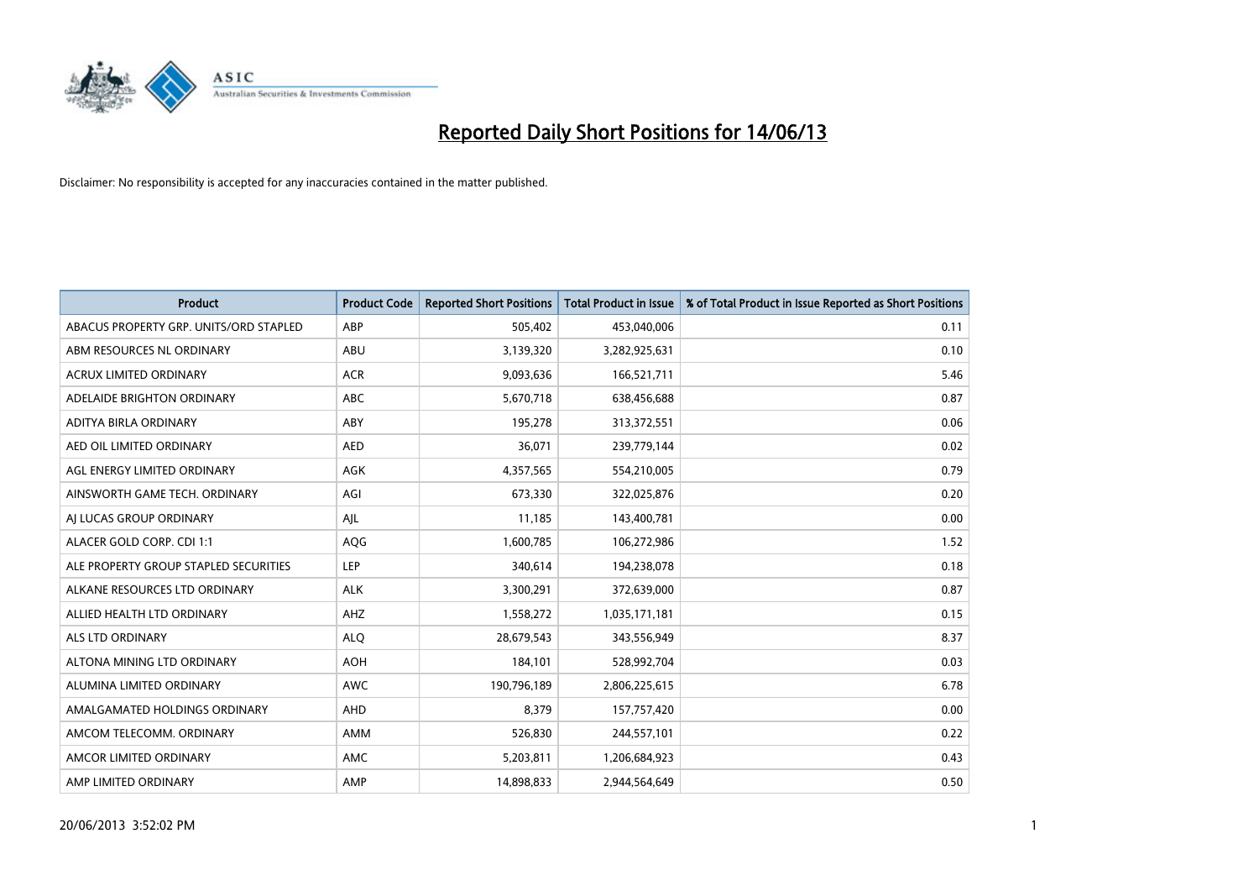

| <b>Product</b>                         | <b>Product Code</b> | <b>Reported Short Positions</b> | <b>Total Product in Issue</b> | % of Total Product in Issue Reported as Short Positions |
|----------------------------------------|---------------------|---------------------------------|-------------------------------|---------------------------------------------------------|
| ABACUS PROPERTY GRP. UNITS/ORD STAPLED | ABP                 | 505,402                         | 453,040,006                   | 0.11                                                    |
| ABM RESOURCES NL ORDINARY              | ABU                 | 3,139,320                       | 3,282,925,631                 | 0.10                                                    |
| <b>ACRUX LIMITED ORDINARY</b>          | <b>ACR</b>          | 9,093,636                       | 166,521,711                   | 5.46                                                    |
| ADELAIDE BRIGHTON ORDINARY             | <b>ABC</b>          | 5,670,718                       | 638,456,688                   | 0.87                                                    |
| ADITYA BIRLA ORDINARY                  | ABY                 | 195,278                         | 313,372,551                   | 0.06                                                    |
| AED OIL LIMITED ORDINARY               | <b>AED</b>          | 36,071                          | 239,779,144                   | 0.02                                                    |
| AGL ENERGY LIMITED ORDINARY            | AGK                 | 4,357,565                       | 554,210,005                   | 0.79                                                    |
| AINSWORTH GAME TECH. ORDINARY          | AGI                 | 673,330                         | 322,025,876                   | 0.20                                                    |
| AI LUCAS GROUP ORDINARY                | AJL                 | 11,185                          | 143,400,781                   | 0.00                                                    |
| ALACER GOLD CORP. CDI 1:1              | AQG                 | 1,600,785                       | 106,272,986                   | 1.52                                                    |
| ALE PROPERTY GROUP STAPLED SECURITIES  | <b>LEP</b>          | 340,614                         | 194,238,078                   | 0.18                                                    |
| ALKANE RESOURCES LTD ORDINARY          | <b>ALK</b>          | 3,300,291                       | 372,639,000                   | 0.87                                                    |
| ALLIED HEALTH LTD ORDINARY             | AHZ                 | 1,558,272                       | 1,035,171,181                 | 0.15                                                    |
| ALS LTD ORDINARY                       | <b>ALO</b>          | 28,679,543                      | 343,556,949                   | 8.37                                                    |
| ALTONA MINING LTD ORDINARY             | <b>AOH</b>          | 184,101                         | 528,992,704                   | 0.03                                                    |
| ALUMINA LIMITED ORDINARY               | AWC                 | 190,796,189                     | 2,806,225,615                 | 6.78                                                    |
| AMALGAMATED HOLDINGS ORDINARY          | AHD                 | 8,379                           | 157,757,420                   | 0.00                                                    |
| AMCOM TELECOMM, ORDINARY               | AMM                 | 526,830                         | 244,557,101                   | 0.22                                                    |
| AMCOR LIMITED ORDINARY                 | AMC                 | 5,203,811                       | 1,206,684,923                 | 0.43                                                    |
| AMP LIMITED ORDINARY                   | AMP                 | 14,898,833                      | 2,944,564,649                 | 0.50                                                    |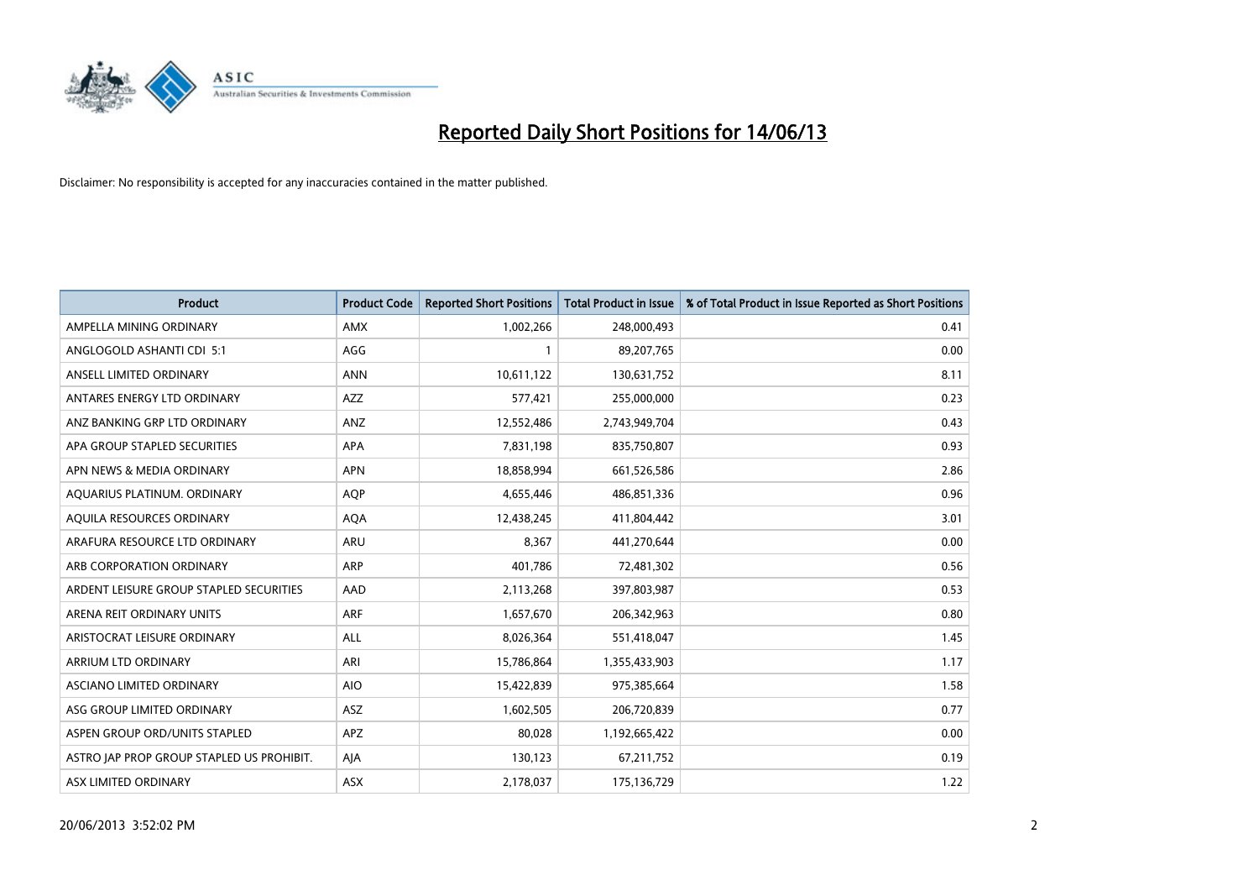

| <b>Product</b>                            | <b>Product Code</b> | <b>Reported Short Positions</b> | <b>Total Product in Issue</b> | % of Total Product in Issue Reported as Short Positions |
|-------------------------------------------|---------------------|---------------------------------|-------------------------------|---------------------------------------------------------|
| AMPELLA MINING ORDINARY                   | AMX                 | 1,002,266                       | 248,000,493                   | 0.41                                                    |
| ANGLOGOLD ASHANTI CDI 5:1                 | AGG                 |                                 | 89,207,765                    | 0.00                                                    |
| ANSELL LIMITED ORDINARY                   | <b>ANN</b>          | 10,611,122                      | 130,631,752                   | 8.11                                                    |
| ANTARES ENERGY LTD ORDINARY               | AZZ                 | 577,421                         | 255,000,000                   | 0.23                                                    |
| ANZ BANKING GRP LTD ORDINARY              | ANZ                 | 12,552,486                      | 2,743,949,704                 | 0.43                                                    |
| APA GROUP STAPLED SECURITIES              | APA                 | 7,831,198                       | 835,750,807                   | 0.93                                                    |
| APN NEWS & MEDIA ORDINARY                 | <b>APN</b>          | 18,858,994                      | 661,526,586                   | 2.86                                                    |
| AQUARIUS PLATINUM. ORDINARY               | AQP                 | 4,655,446                       | 486,851,336                   | 0.96                                                    |
| AQUILA RESOURCES ORDINARY                 | <b>AQA</b>          | 12,438,245                      | 411,804,442                   | 3.01                                                    |
| ARAFURA RESOURCE LTD ORDINARY             | <b>ARU</b>          | 8,367                           | 441,270,644                   | 0.00                                                    |
| ARB CORPORATION ORDINARY                  | ARP                 | 401,786                         | 72,481,302                    | 0.56                                                    |
| ARDENT LEISURE GROUP STAPLED SECURITIES   | AAD                 | 2,113,268                       | 397,803,987                   | 0.53                                                    |
| ARENA REIT ORDINARY UNITS                 | <b>ARF</b>          | 1,657,670                       | 206,342,963                   | 0.80                                                    |
| ARISTOCRAT LEISURE ORDINARY               | ALL                 | 8,026,364                       | 551,418,047                   | 1.45                                                    |
| ARRIUM LTD ORDINARY                       | ARI                 | 15,786,864                      | 1,355,433,903                 | 1.17                                                    |
| ASCIANO LIMITED ORDINARY                  | <b>AIO</b>          | 15,422,839                      | 975,385,664                   | 1.58                                                    |
| ASG GROUP LIMITED ORDINARY                | ASZ                 | 1,602,505                       | 206,720,839                   | 0.77                                                    |
| ASPEN GROUP ORD/UNITS STAPLED             | APZ                 | 80,028                          | 1,192,665,422                 | 0.00                                                    |
| ASTRO JAP PROP GROUP STAPLED US PROHIBIT. | AJA                 | 130,123                         | 67,211,752                    | 0.19                                                    |
| ASX LIMITED ORDINARY                      | ASX                 | 2,178,037                       | 175,136,729                   | 1.22                                                    |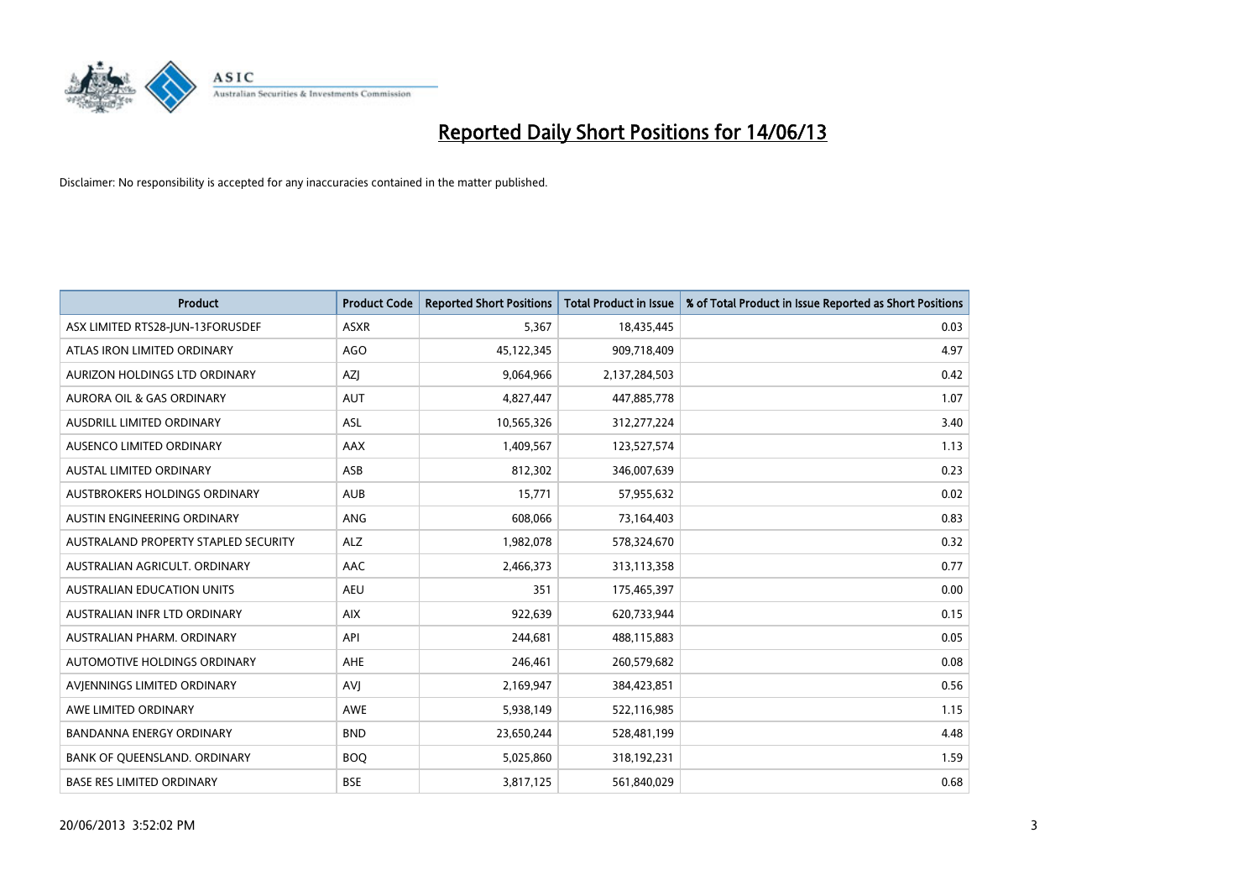

| <b>Product</b>                       | <b>Product Code</b> | <b>Reported Short Positions</b> | <b>Total Product in Issue</b> | % of Total Product in Issue Reported as Short Positions |
|--------------------------------------|---------------------|---------------------------------|-------------------------------|---------------------------------------------------------|
| ASX LIMITED RTS28-JUN-13FORUSDEF     | <b>ASXR</b>         | 5,367                           | 18,435,445                    | 0.03                                                    |
| ATLAS IRON LIMITED ORDINARY          | <b>AGO</b>          | 45,122,345                      | 909,718,409                   | 4.97                                                    |
| AURIZON HOLDINGS LTD ORDINARY        | AZJ                 | 9,064,966                       | 2,137,284,503                 | 0.42                                                    |
| AURORA OIL & GAS ORDINARY            | <b>AUT</b>          | 4,827,447                       | 447,885,778                   | 1.07                                                    |
| AUSDRILL LIMITED ORDINARY            | ASL                 | 10,565,326                      | 312,277,224                   | 3.40                                                    |
| AUSENCO LIMITED ORDINARY             | <b>AAX</b>          | 1,409,567                       | 123,527,574                   | 1.13                                                    |
| <b>AUSTAL LIMITED ORDINARY</b>       | ASB                 | 812,302                         | 346,007,639                   | 0.23                                                    |
| AUSTBROKERS HOLDINGS ORDINARY        | <b>AUB</b>          | 15,771                          | 57,955,632                    | 0.02                                                    |
| AUSTIN ENGINEERING ORDINARY          | ANG                 | 608,066                         | 73,164,403                    | 0.83                                                    |
| AUSTRALAND PROPERTY STAPLED SECURITY | <b>ALZ</b>          | 1,982,078                       | 578,324,670                   | 0.32                                                    |
| AUSTRALIAN AGRICULT. ORDINARY        | AAC                 | 2,466,373                       | 313,113,358                   | 0.77                                                    |
| <b>AUSTRALIAN EDUCATION UNITS</b>    | <b>AEU</b>          | 351                             | 175,465,397                   | 0.00                                                    |
| AUSTRALIAN INFR LTD ORDINARY         | <b>AIX</b>          | 922,639                         | 620,733,944                   | 0.15                                                    |
| AUSTRALIAN PHARM, ORDINARY           | API                 | 244,681                         | 488,115,883                   | 0.05                                                    |
| <b>AUTOMOTIVE HOLDINGS ORDINARY</b>  | <b>AHE</b>          | 246,461                         | 260,579,682                   | 0.08                                                    |
| AVIENNINGS LIMITED ORDINARY          | <b>AVI</b>          | 2,169,947                       | 384,423,851                   | 0.56                                                    |
| AWE LIMITED ORDINARY                 | AWE                 | 5,938,149                       | 522,116,985                   | 1.15                                                    |
| <b>BANDANNA ENERGY ORDINARY</b>      | <b>BND</b>          | 23,650,244                      | 528,481,199                   | 4.48                                                    |
| BANK OF QUEENSLAND. ORDINARY         | <b>BOQ</b>          | 5,025,860                       | 318,192,231                   | 1.59                                                    |
| <b>BASE RES LIMITED ORDINARY</b>     | <b>BSE</b>          | 3,817,125                       | 561,840,029                   | 0.68                                                    |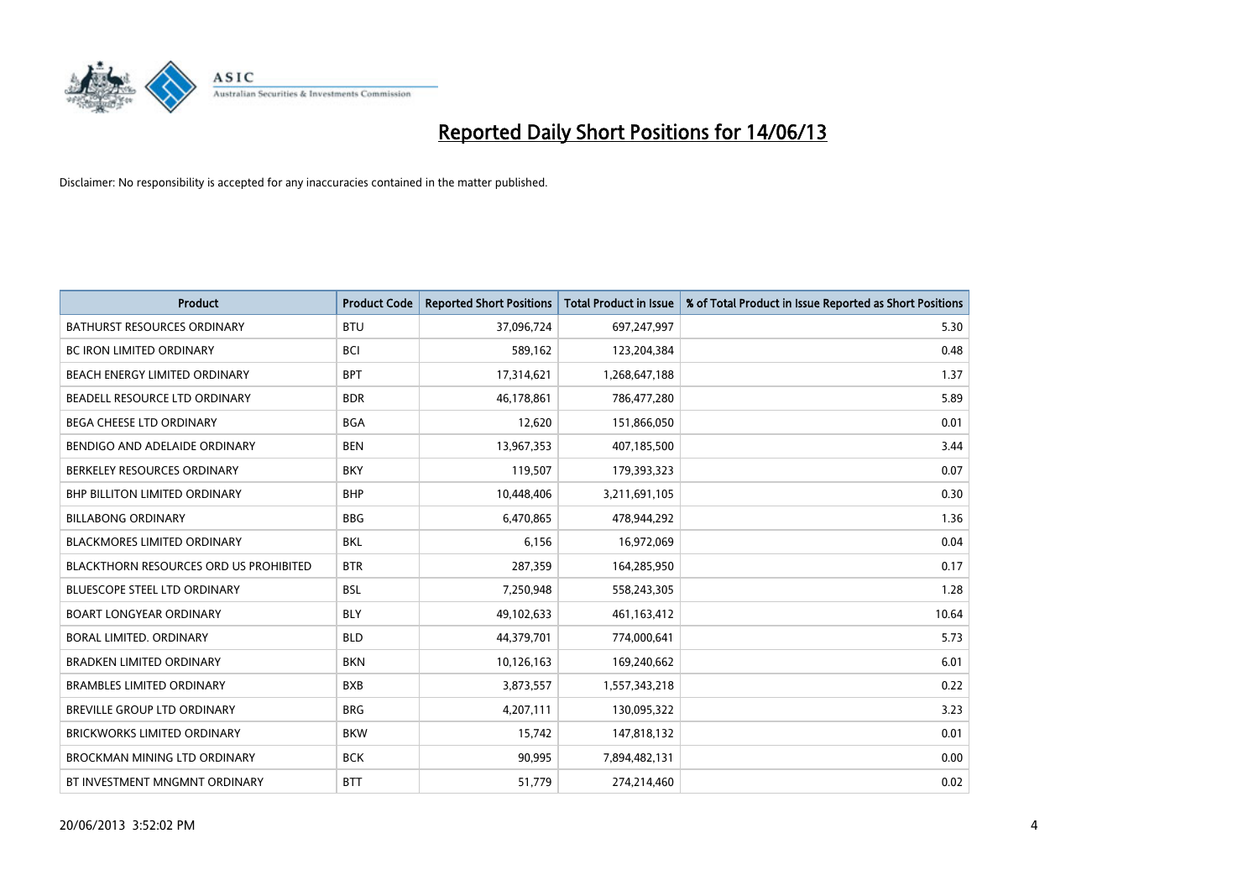

| <b>Product</b>                         | <b>Product Code</b> | <b>Reported Short Positions</b> | <b>Total Product in Issue</b> | % of Total Product in Issue Reported as Short Positions |
|----------------------------------------|---------------------|---------------------------------|-------------------------------|---------------------------------------------------------|
| <b>BATHURST RESOURCES ORDINARY</b>     | <b>BTU</b>          | 37,096,724                      | 697,247,997                   | 5.30                                                    |
| BC IRON LIMITED ORDINARY               | <b>BCI</b>          | 589,162                         | 123,204,384                   | 0.48                                                    |
| BEACH ENERGY LIMITED ORDINARY          | <b>BPT</b>          | 17,314,621                      | 1,268,647,188                 | 1.37                                                    |
| BEADELL RESOURCE LTD ORDINARY          | <b>BDR</b>          | 46,178,861                      | 786,477,280                   | 5.89                                                    |
| <b>BEGA CHEESE LTD ORDINARY</b>        | <b>BGA</b>          | 12,620                          | 151,866,050                   | 0.01                                                    |
| BENDIGO AND ADELAIDE ORDINARY          | <b>BEN</b>          | 13,967,353                      | 407,185,500                   | 3.44                                                    |
| BERKELEY RESOURCES ORDINARY            | <b>BKY</b>          | 119,507                         | 179,393,323                   | 0.07                                                    |
| <b>BHP BILLITON LIMITED ORDINARY</b>   | <b>BHP</b>          | 10,448,406                      | 3,211,691,105                 | 0.30                                                    |
| <b>BILLABONG ORDINARY</b>              | <b>BBG</b>          | 6,470,865                       | 478,944,292                   | 1.36                                                    |
| <b>BLACKMORES LIMITED ORDINARY</b>     | <b>BKL</b>          | 6,156                           | 16,972,069                    | 0.04                                                    |
| BLACKTHORN RESOURCES ORD US PROHIBITED | <b>BTR</b>          | 287,359                         | 164,285,950                   | 0.17                                                    |
| <b>BLUESCOPE STEEL LTD ORDINARY</b>    | <b>BSL</b>          | 7,250,948                       | 558,243,305                   | 1.28                                                    |
| <b>BOART LONGYEAR ORDINARY</b>         | <b>BLY</b>          | 49,102,633                      | 461,163,412                   | 10.64                                                   |
| <b>BORAL LIMITED, ORDINARY</b>         | <b>BLD</b>          | 44,379,701                      | 774,000,641                   | 5.73                                                    |
| <b>BRADKEN LIMITED ORDINARY</b>        | <b>BKN</b>          | 10,126,163                      | 169,240,662                   | 6.01                                                    |
| <b>BRAMBLES LIMITED ORDINARY</b>       | <b>BXB</b>          | 3,873,557                       | 1,557,343,218                 | 0.22                                                    |
| BREVILLE GROUP LTD ORDINARY            | <b>BRG</b>          | 4,207,111                       | 130,095,322                   | 3.23                                                    |
| <b>BRICKWORKS LIMITED ORDINARY</b>     | <b>BKW</b>          | 15,742                          | 147,818,132                   | 0.01                                                    |
| <b>BROCKMAN MINING LTD ORDINARY</b>    | <b>BCK</b>          | 90,995                          | 7,894,482,131                 | 0.00                                                    |
| BT INVESTMENT MNGMNT ORDINARY          | <b>BTT</b>          | 51,779                          | 274,214,460                   | 0.02                                                    |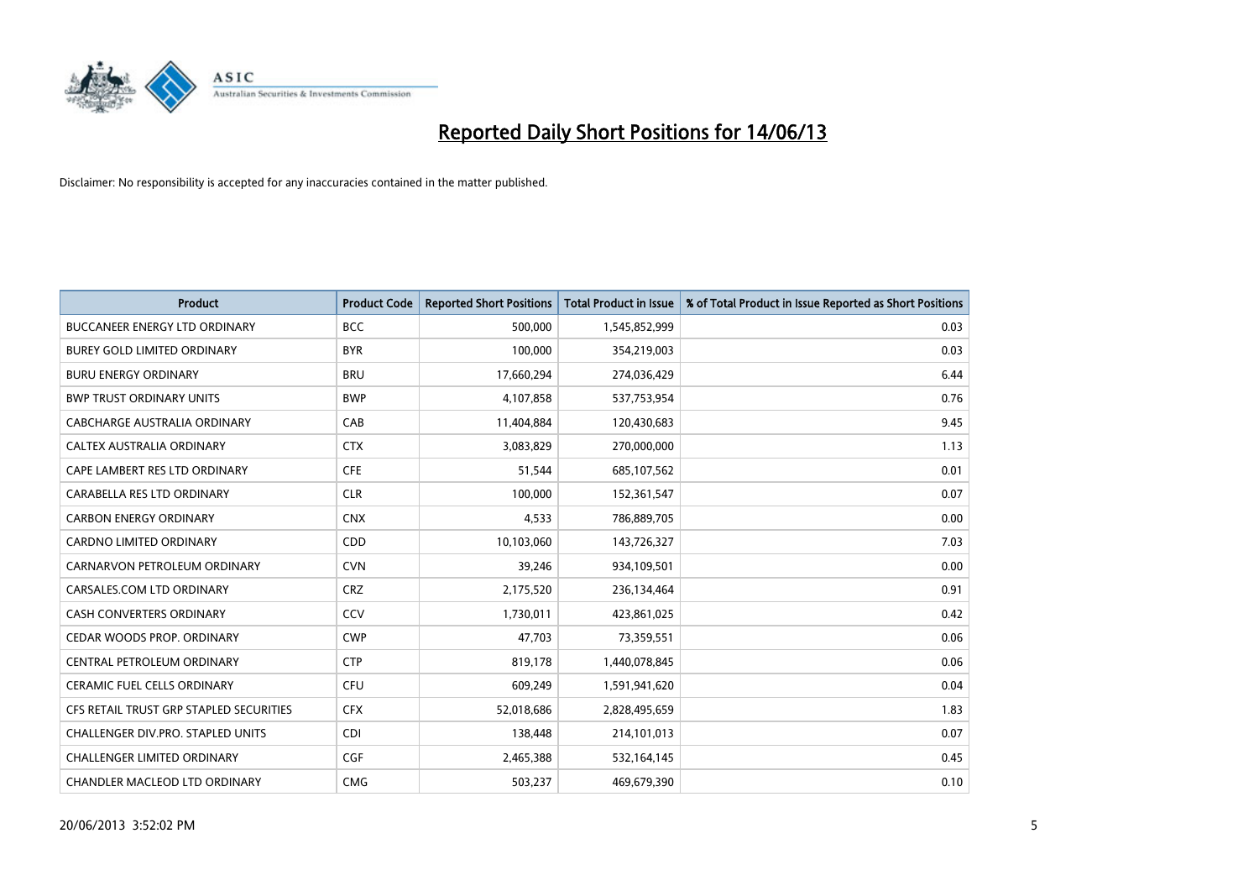

| <b>Product</b>                          | <b>Product Code</b> | <b>Reported Short Positions</b> | <b>Total Product in Issue</b> | % of Total Product in Issue Reported as Short Positions |
|-----------------------------------------|---------------------|---------------------------------|-------------------------------|---------------------------------------------------------|
| <b>BUCCANEER ENERGY LTD ORDINARY</b>    | <b>BCC</b>          | 500,000                         | 1,545,852,999                 | 0.03                                                    |
| <b>BUREY GOLD LIMITED ORDINARY</b>      | <b>BYR</b>          | 100,000                         | 354,219,003                   | 0.03                                                    |
| <b>BURU ENERGY ORDINARY</b>             | <b>BRU</b>          | 17,660,294                      | 274,036,429                   | 6.44                                                    |
| <b>BWP TRUST ORDINARY UNITS</b>         | <b>BWP</b>          | 4,107,858                       | 537,753,954                   | 0.76                                                    |
| CABCHARGE AUSTRALIA ORDINARY            | CAB                 | 11,404,884                      | 120,430,683                   | 9.45                                                    |
| CALTEX AUSTRALIA ORDINARY               | <b>CTX</b>          | 3,083,829                       | 270,000,000                   | 1.13                                                    |
| CAPE LAMBERT RES LTD ORDINARY           | <b>CFE</b>          | 51,544                          | 685,107,562                   | 0.01                                                    |
| CARABELLA RES LTD ORDINARY              | <b>CLR</b>          | 100,000                         | 152,361,547                   | 0.07                                                    |
| <b>CARBON ENERGY ORDINARY</b>           | <b>CNX</b>          | 4,533                           | 786,889,705                   | 0.00                                                    |
| <b>CARDNO LIMITED ORDINARY</b>          | CDD                 | 10,103,060                      | 143,726,327                   | 7.03                                                    |
| CARNARVON PETROLEUM ORDINARY            | <b>CVN</b>          | 39,246                          | 934,109,501                   | 0.00                                                    |
| CARSALES.COM LTD ORDINARY               | <b>CRZ</b>          | 2,175,520                       | 236,134,464                   | 0.91                                                    |
| CASH CONVERTERS ORDINARY                | CCV                 | 1,730,011                       | 423,861,025                   | 0.42                                                    |
| CEDAR WOODS PROP. ORDINARY              | <b>CWP</b>          | 47,703                          | 73,359,551                    | 0.06                                                    |
| CENTRAL PETROLEUM ORDINARY              | <b>CTP</b>          | 819,178                         | 1,440,078,845                 | 0.06                                                    |
| CERAMIC FUEL CELLS ORDINARY             | <b>CFU</b>          | 609,249                         | 1,591,941,620                 | 0.04                                                    |
| CFS RETAIL TRUST GRP STAPLED SECURITIES | <b>CFX</b>          | 52,018,686                      | 2,828,495,659                 | 1.83                                                    |
| CHALLENGER DIV.PRO. STAPLED UNITS       | <b>CDI</b>          | 138,448                         | 214,101,013                   | 0.07                                                    |
| <b>CHALLENGER LIMITED ORDINARY</b>      | <b>CGF</b>          | 2,465,388                       | 532,164,145                   | 0.45                                                    |
| CHANDLER MACLEOD LTD ORDINARY           | <b>CMG</b>          | 503,237                         | 469,679,390                   | 0.10                                                    |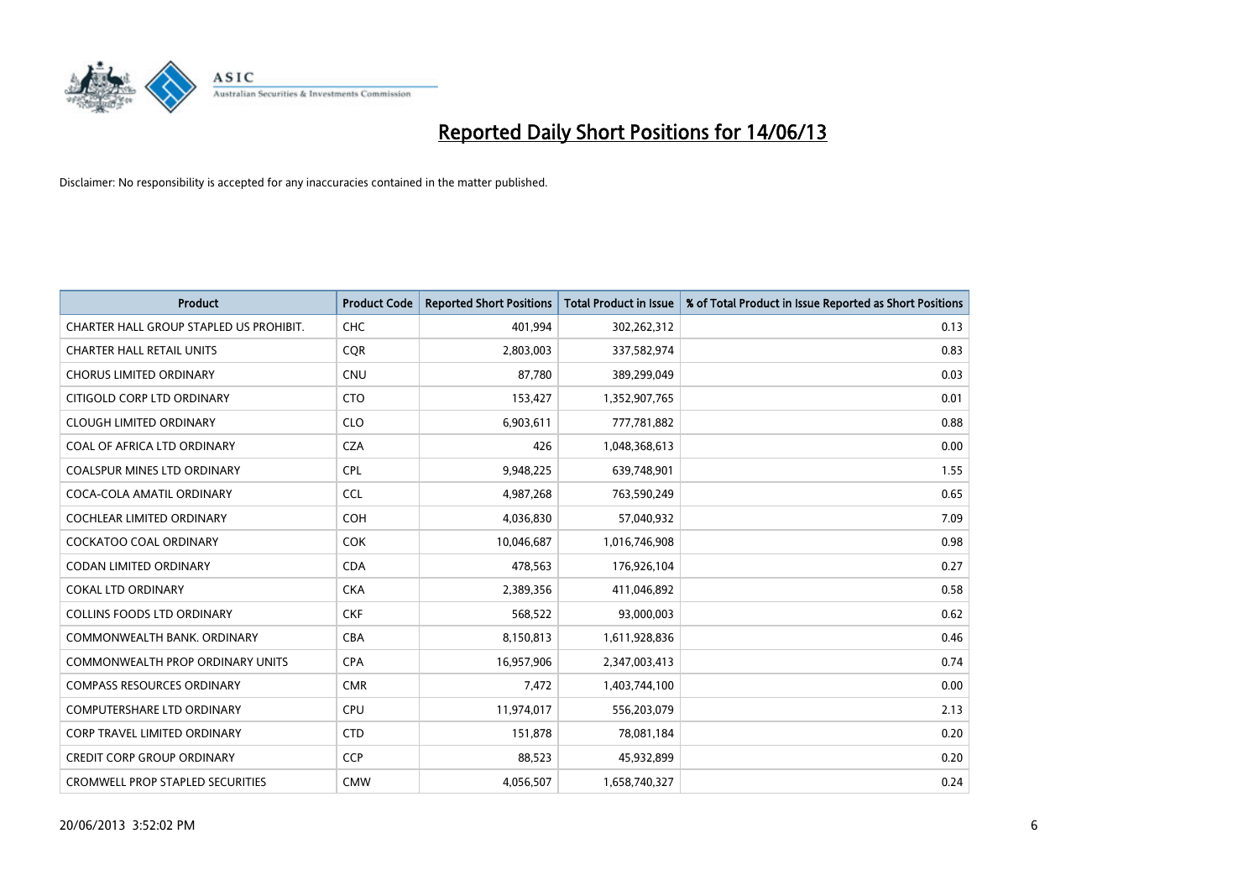

| <b>Product</b>                          | <b>Product Code</b> | <b>Reported Short Positions</b> | <b>Total Product in Issue</b> | % of Total Product in Issue Reported as Short Positions |
|-----------------------------------------|---------------------|---------------------------------|-------------------------------|---------------------------------------------------------|
| CHARTER HALL GROUP STAPLED US PROHIBIT. | <b>CHC</b>          | 401,994                         | 302,262,312                   | 0.13                                                    |
| <b>CHARTER HALL RETAIL UNITS</b>        | <b>CQR</b>          | 2,803,003                       | 337,582,974                   | 0.83                                                    |
| <b>CHORUS LIMITED ORDINARY</b>          | <b>CNU</b>          | 87,780                          | 389,299,049                   | 0.03                                                    |
| CITIGOLD CORP LTD ORDINARY              | <b>CTO</b>          | 153,427                         | 1,352,907,765                 | 0.01                                                    |
| <b>CLOUGH LIMITED ORDINARY</b>          | <b>CLO</b>          | 6,903,611                       | 777,781,882                   | 0.88                                                    |
| COAL OF AFRICA LTD ORDINARY             | <b>CZA</b>          | 426                             | 1,048,368,613                 | 0.00                                                    |
| <b>COALSPUR MINES LTD ORDINARY</b>      | <b>CPL</b>          | 9,948,225                       | 639,748,901                   | 1.55                                                    |
| COCA-COLA AMATIL ORDINARY               | <b>CCL</b>          | 4,987,268                       | 763,590,249                   | 0.65                                                    |
| COCHLEAR LIMITED ORDINARY               | <b>COH</b>          | 4,036,830                       | 57,040,932                    | 7.09                                                    |
| <b>COCKATOO COAL ORDINARY</b>           | <b>COK</b>          | 10,046,687                      | 1,016,746,908                 | 0.98                                                    |
| <b>CODAN LIMITED ORDINARY</b>           | <b>CDA</b>          | 478,563                         | 176,926,104                   | 0.27                                                    |
| <b>COKAL LTD ORDINARY</b>               | <b>CKA</b>          | 2,389,356                       | 411,046,892                   | 0.58                                                    |
| COLLINS FOODS LTD ORDINARY              | <b>CKF</b>          | 568,522                         | 93,000,003                    | 0.62                                                    |
| COMMONWEALTH BANK, ORDINARY             | <b>CBA</b>          | 8,150,813                       | 1,611,928,836                 | 0.46                                                    |
| <b>COMMONWEALTH PROP ORDINARY UNITS</b> | <b>CPA</b>          | 16,957,906                      | 2,347,003,413                 | 0.74                                                    |
| <b>COMPASS RESOURCES ORDINARY</b>       | <b>CMR</b>          | 7,472                           | 1,403,744,100                 | 0.00                                                    |
| <b>COMPUTERSHARE LTD ORDINARY</b>       | <b>CPU</b>          | 11,974,017                      | 556,203,079                   | 2.13                                                    |
| <b>CORP TRAVEL LIMITED ORDINARY</b>     | <b>CTD</b>          | 151,878                         | 78,081,184                    | 0.20                                                    |
| <b>CREDIT CORP GROUP ORDINARY</b>       | CCP                 | 88,523                          | 45,932,899                    | 0.20                                                    |
| <b>CROMWELL PROP STAPLED SECURITIES</b> | <b>CMW</b>          | 4,056,507                       | 1,658,740,327                 | 0.24                                                    |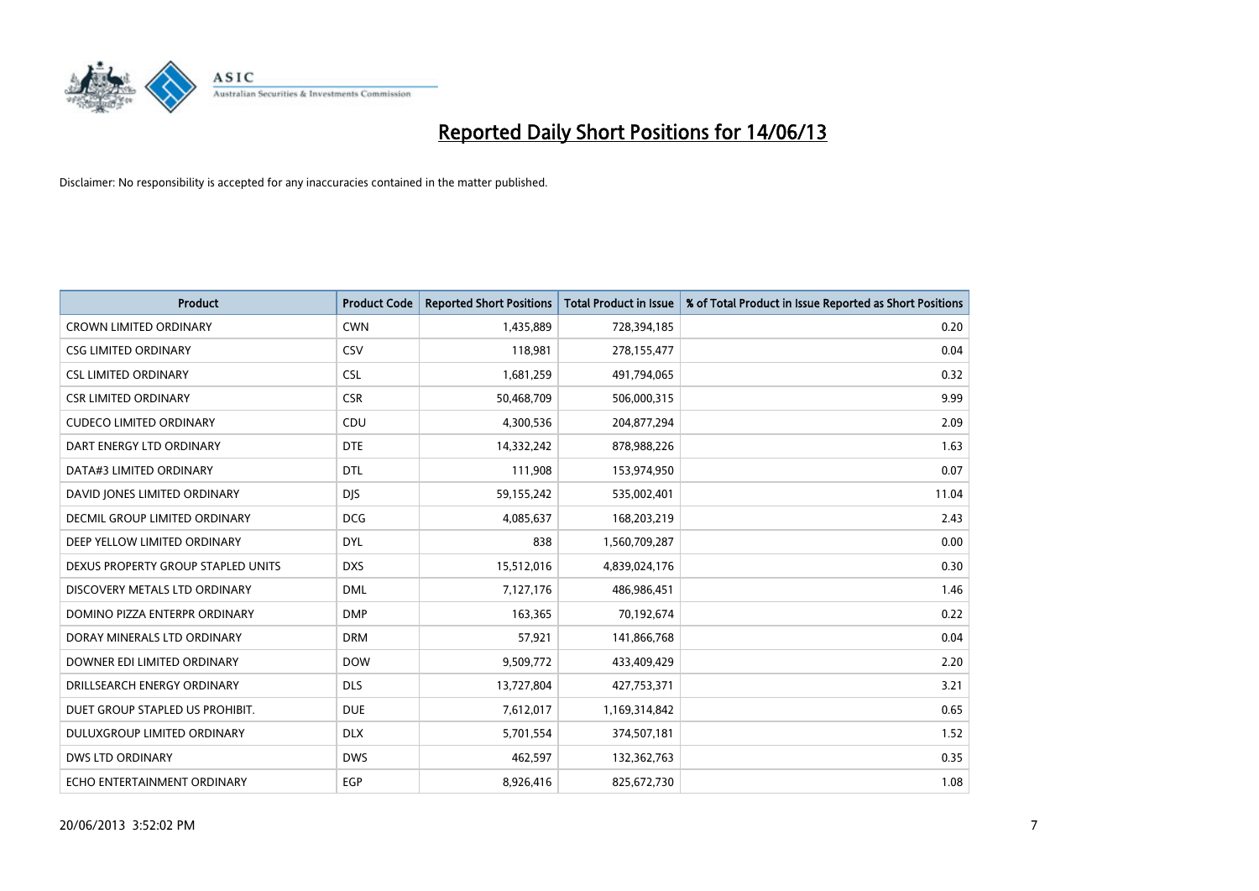

| <b>Product</b>                     | <b>Product Code</b> | <b>Reported Short Positions</b> | <b>Total Product in Issue</b> | % of Total Product in Issue Reported as Short Positions |
|------------------------------------|---------------------|---------------------------------|-------------------------------|---------------------------------------------------------|
| <b>CROWN LIMITED ORDINARY</b>      | <b>CWN</b>          | 1,435,889                       | 728,394,185                   | 0.20                                                    |
| <b>CSG LIMITED ORDINARY</b>        | <b>CSV</b>          | 118,981                         | 278,155,477                   | 0.04                                                    |
| <b>CSL LIMITED ORDINARY</b>        | <b>CSL</b>          | 1,681,259                       | 491,794,065                   | 0.32                                                    |
| <b>CSR LIMITED ORDINARY</b>        | <b>CSR</b>          | 50,468,709                      | 506,000,315                   | 9.99                                                    |
| <b>CUDECO LIMITED ORDINARY</b>     | CDU                 | 4,300,536                       | 204,877,294                   | 2.09                                                    |
| DART ENERGY LTD ORDINARY           | <b>DTE</b>          | 14,332,242                      | 878,988,226                   | 1.63                                                    |
| DATA#3 LIMITED ORDINARY            | <b>DTL</b>          | 111,908                         | 153,974,950                   | 0.07                                                    |
| DAVID JONES LIMITED ORDINARY       | <b>DJS</b>          | 59,155,242                      | 535,002,401                   | 11.04                                                   |
| DECMIL GROUP LIMITED ORDINARY      | <b>DCG</b>          | 4,085,637                       | 168,203,219                   | 2.43                                                    |
| DEEP YELLOW LIMITED ORDINARY       | <b>DYL</b>          | 838                             | 1,560,709,287                 | 0.00                                                    |
| DEXUS PROPERTY GROUP STAPLED UNITS | <b>DXS</b>          | 15,512,016                      | 4,839,024,176                 | 0.30                                                    |
| DISCOVERY METALS LTD ORDINARY      | <b>DML</b>          | 7,127,176                       | 486,986,451                   | 1.46                                                    |
| DOMINO PIZZA ENTERPR ORDINARY      | <b>DMP</b>          | 163,365                         | 70,192,674                    | 0.22                                                    |
| DORAY MINERALS LTD ORDINARY        | <b>DRM</b>          | 57,921                          | 141,866,768                   | 0.04                                                    |
| DOWNER EDI LIMITED ORDINARY        | <b>DOW</b>          | 9,509,772                       | 433,409,429                   | 2.20                                                    |
| DRILLSEARCH ENERGY ORDINARY        | <b>DLS</b>          | 13,727,804                      | 427,753,371                   | 3.21                                                    |
| DUET GROUP STAPLED US PROHIBIT.    | <b>DUE</b>          | 7,612,017                       | 1,169,314,842                 | 0.65                                                    |
| DULUXGROUP LIMITED ORDINARY        | <b>DLX</b>          | 5,701,554                       | 374,507,181                   | 1.52                                                    |
| <b>DWS LTD ORDINARY</b>            | <b>DWS</b>          | 462,597                         | 132,362,763                   | 0.35                                                    |
| ECHO ENTERTAINMENT ORDINARY        | <b>EGP</b>          | 8,926,416                       | 825,672,730                   | 1.08                                                    |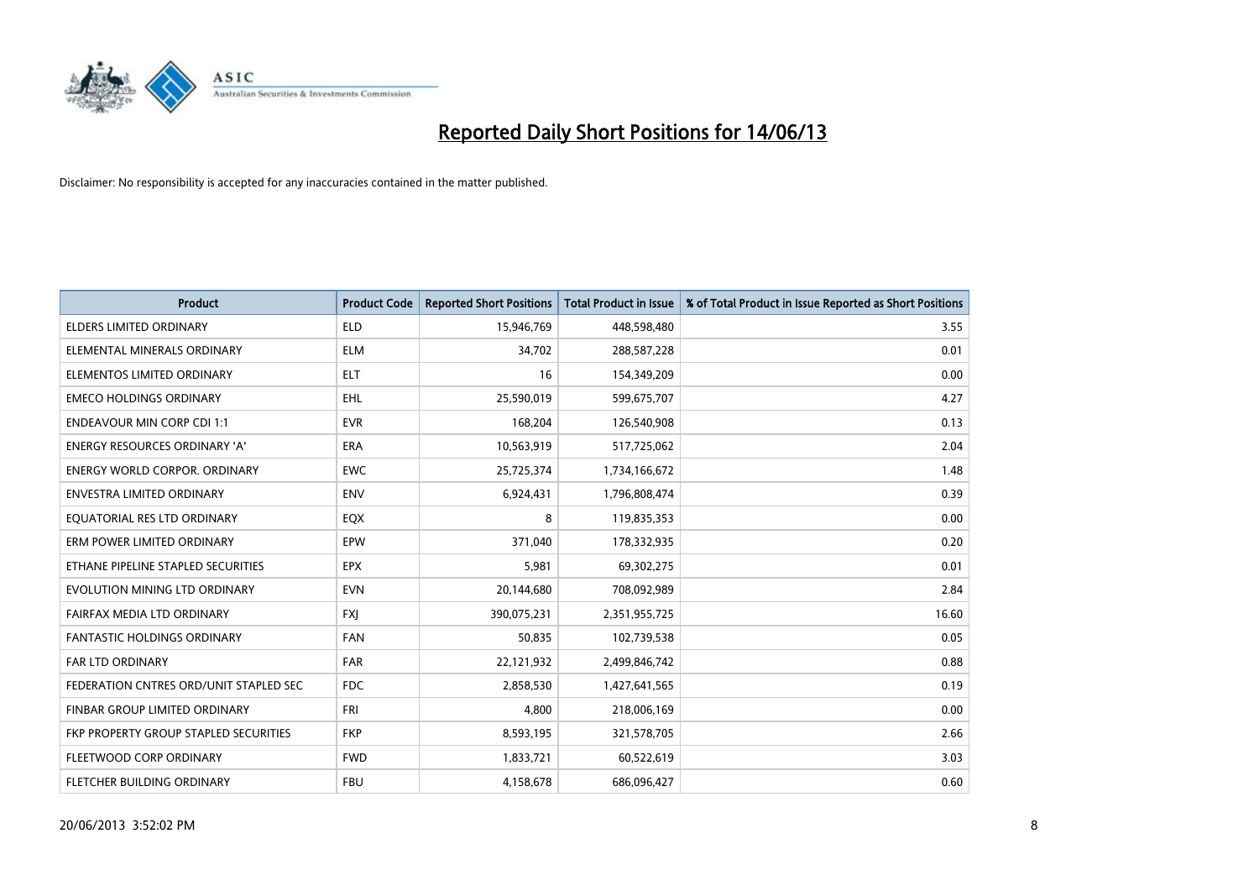

| <b>Product</b>                         | <b>Product Code</b> | <b>Reported Short Positions</b> | <b>Total Product in Issue</b> | % of Total Product in Issue Reported as Short Positions |
|----------------------------------------|---------------------|---------------------------------|-------------------------------|---------------------------------------------------------|
| <b>ELDERS LIMITED ORDINARY</b>         | <b>ELD</b>          | 15,946,769                      | 448,598,480                   | 3.55                                                    |
| ELEMENTAL MINERALS ORDINARY            | ELM                 | 34,702                          | 288,587,228                   | 0.01                                                    |
| ELEMENTOS LIMITED ORDINARY             | <b>ELT</b>          | 16                              | 154,349,209                   | 0.00                                                    |
| <b>EMECO HOLDINGS ORDINARY</b>         | <b>EHL</b>          | 25,590,019                      | 599,675,707                   | 4.27                                                    |
| <b>ENDEAVOUR MIN CORP CDI 1:1</b>      | <b>EVR</b>          | 168,204                         | 126,540,908                   | 0.13                                                    |
| <b>ENERGY RESOURCES ORDINARY 'A'</b>   | <b>ERA</b>          | 10,563,919                      | 517,725,062                   | 2.04                                                    |
| <b>ENERGY WORLD CORPOR, ORDINARY</b>   | <b>EWC</b>          | 25,725,374                      | 1,734,166,672                 | 1.48                                                    |
| <b>ENVESTRA LIMITED ORDINARY</b>       | <b>ENV</b>          | 6,924,431                       | 1,796,808,474                 | 0.39                                                    |
| EQUATORIAL RES LTD ORDINARY            | EQX                 | 8                               | 119,835,353                   | 0.00                                                    |
| ERM POWER LIMITED ORDINARY             | EPW                 | 371,040                         | 178,332,935                   | 0.20                                                    |
| ETHANE PIPELINE STAPLED SECURITIES     | <b>EPX</b>          | 5,981                           | 69,302,275                    | 0.01                                                    |
| EVOLUTION MINING LTD ORDINARY          | <b>EVN</b>          | 20,144,680                      | 708,092,989                   | 2.84                                                    |
| FAIRFAX MEDIA LTD ORDINARY             | FXJ                 | 390,075,231                     | 2,351,955,725                 | 16.60                                                   |
| <b>FANTASTIC HOLDINGS ORDINARY</b>     | <b>FAN</b>          | 50,835                          | 102,739,538                   | 0.05                                                    |
| FAR LTD ORDINARY                       | <b>FAR</b>          | 22,121,932                      | 2,499,846,742                 | 0.88                                                    |
| FEDERATION CNTRES ORD/UNIT STAPLED SEC | <b>FDC</b>          | 2,858,530                       | 1,427,641,565                 | 0.19                                                    |
| FINBAR GROUP LIMITED ORDINARY          | <b>FRI</b>          | 4,800                           | 218,006,169                   | 0.00                                                    |
| FKP PROPERTY GROUP STAPLED SECURITIES  | <b>FKP</b>          | 8,593,195                       | 321,578,705                   | 2.66                                                    |
| FLEETWOOD CORP ORDINARY                | <b>FWD</b>          | 1,833,721                       | 60,522,619                    | 3.03                                                    |
| FLETCHER BUILDING ORDINARY             | <b>FBU</b>          | 4,158,678                       | 686,096,427                   | 0.60                                                    |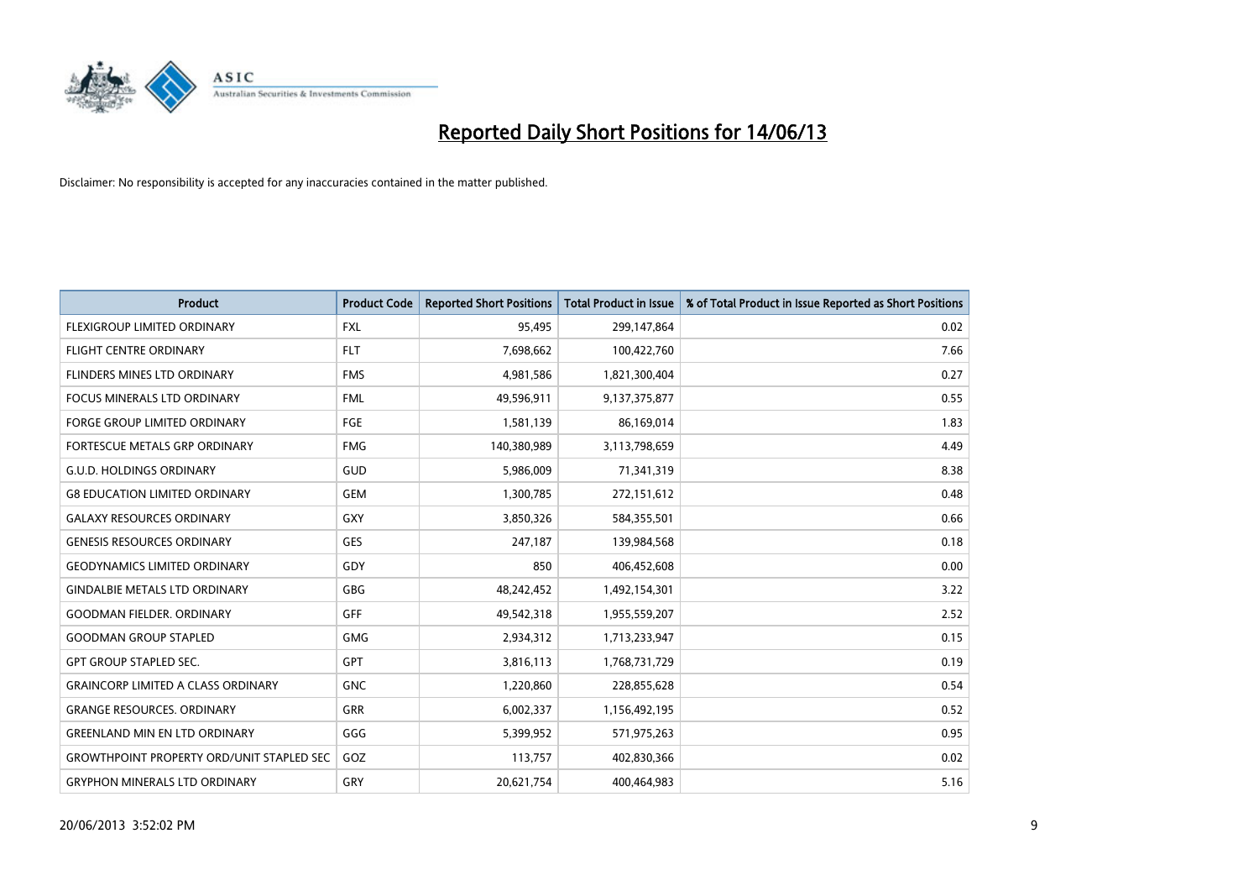

| <b>Product</b>                                   | <b>Product Code</b> | <b>Reported Short Positions</b> | <b>Total Product in Issue</b> | % of Total Product in Issue Reported as Short Positions |
|--------------------------------------------------|---------------------|---------------------------------|-------------------------------|---------------------------------------------------------|
| <b>FLEXIGROUP LIMITED ORDINARY</b>               | FXL                 | 95,495                          | 299,147,864                   | 0.02                                                    |
| FLIGHT CENTRE ORDINARY                           | <b>FLT</b>          | 7,698,662                       | 100,422,760                   | 7.66                                                    |
| FLINDERS MINES LTD ORDINARY                      | <b>FMS</b>          | 4,981,586                       | 1,821,300,404                 | 0.27                                                    |
| <b>FOCUS MINERALS LTD ORDINARY</b>               | <b>FML</b>          | 49,596,911                      | 9,137,375,877                 | 0.55                                                    |
| <b>FORGE GROUP LIMITED ORDINARY</b>              | FGE                 | 1,581,139                       | 86,169,014                    | 1.83                                                    |
| FORTESCUE METALS GRP ORDINARY                    | <b>FMG</b>          | 140,380,989                     | 3,113,798,659                 | 4.49                                                    |
| <b>G.U.D. HOLDINGS ORDINARY</b>                  | GUD                 | 5,986,009                       | 71,341,319                    | 8.38                                                    |
| <b>G8 EDUCATION LIMITED ORDINARY</b>             | <b>GEM</b>          | 1,300,785                       | 272,151,612                   | 0.48                                                    |
| <b>GALAXY RESOURCES ORDINARY</b>                 | GXY                 | 3,850,326                       | 584,355,501                   | 0.66                                                    |
| <b>GENESIS RESOURCES ORDINARY</b>                | <b>GES</b>          | 247,187                         | 139,984,568                   | 0.18                                                    |
| <b>GEODYNAMICS LIMITED ORDINARY</b>              | GDY                 | 850                             | 406,452,608                   | 0.00                                                    |
| <b>GINDALBIE METALS LTD ORDINARY</b>             | GBG                 | 48,242,452                      | 1,492,154,301                 | 3.22                                                    |
| <b>GOODMAN FIELDER, ORDINARY</b>                 | <b>GFF</b>          | 49,542,318                      | 1,955,559,207                 | 2.52                                                    |
| <b>GOODMAN GROUP STAPLED</b>                     | <b>GMG</b>          | 2,934,312                       | 1,713,233,947                 | 0.15                                                    |
| <b>GPT GROUP STAPLED SEC.</b>                    | <b>GPT</b>          | 3,816,113                       | 1,768,731,729                 | 0.19                                                    |
| <b>GRAINCORP LIMITED A CLASS ORDINARY</b>        | <b>GNC</b>          | 1,220,860                       | 228,855,628                   | 0.54                                                    |
| <b>GRANGE RESOURCES. ORDINARY</b>                | GRR                 | 6,002,337                       | 1,156,492,195                 | 0.52                                                    |
| <b>GREENLAND MIN EN LTD ORDINARY</b>             | GGG                 | 5,399,952                       | 571,975,263                   | 0.95                                                    |
| <b>GROWTHPOINT PROPERTY ORD/UNIT STAPLED SEC</b> | GOZ                 | 113,757                         | 402,830,366                   | 0.02                                                    |
| <b>GRYPHON MINERALS LTD ORDINARY</b>             | GRY                 | 20,621,754                      | 400,464,983                   | 5.16                                                    |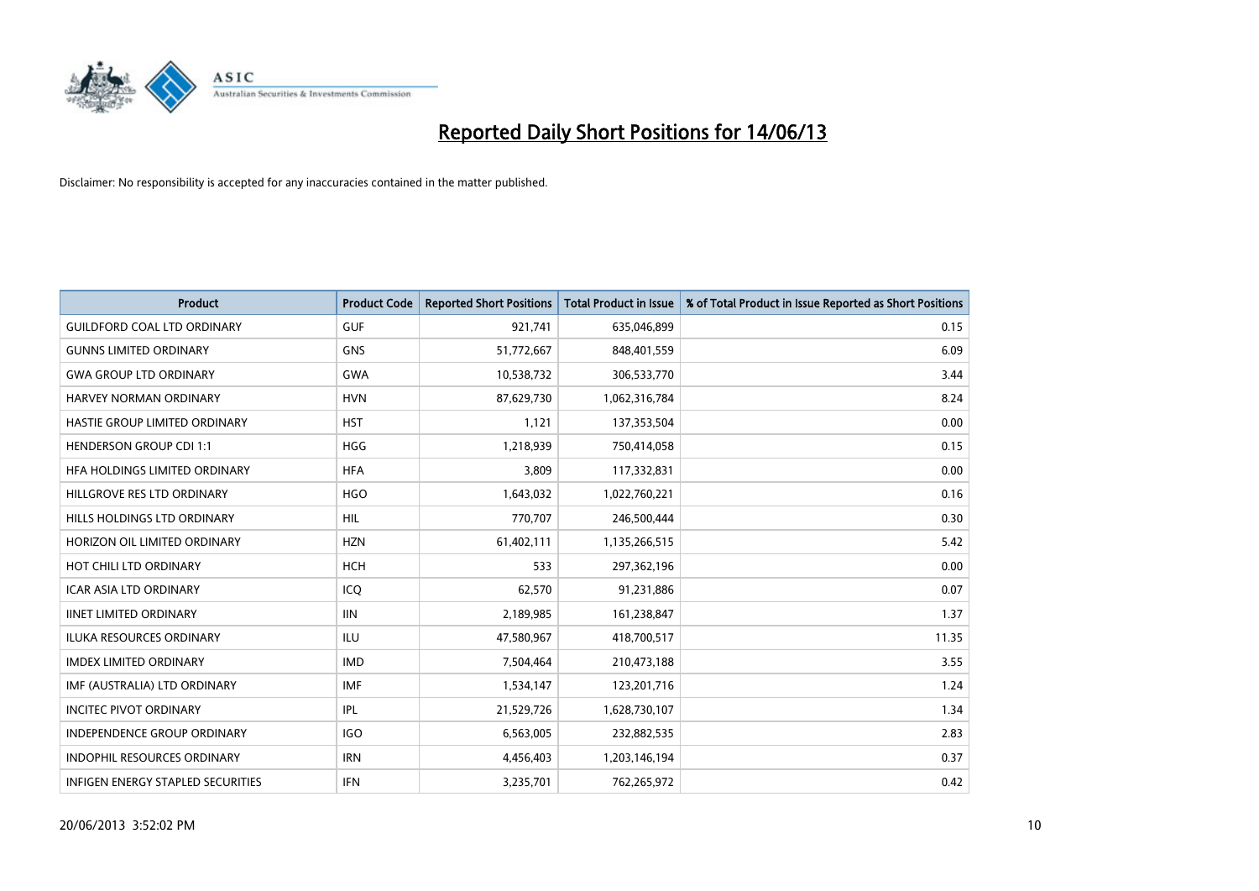

| <b>Product</b>                       | <b>Product Code</b> | <b>Reported Short Positions</b> | <b>Total Product in Issue</b> | % of Total Product in Issue Reported as Short Positions |
|--------------------------------------|---------------------|---------------------------------|-------------------------------|---------------------------------------------------------|
| <b>GUILDFORD COAL LTD ORDINARY</b>   | <b>GUF</b>          | 921,741                         | 635,046,899                   | 0.15                                                    |
| <b>GUNNS LIMITED ORDINARY</b>        | <b>GNS</b>          | 51,772,667                      | 848,401,559                   | 6.09                                                    |
| <b>GWA GROUP LTD ORDINARY</b>        | <b>GWA</b>          | 10,538,732                      | 306,533,770                   | 3.44                                                    |
| HARVEY NORMAN ORDINARY               | <b>HVN</b>          | 87,629,730                      | 1,062,316,784                 | 8.24                                                    |
| <b>HASTIE GROUP LIMITED ORDINARY</b> | <b>HST</b>          | 1,121                           | 137,353,504                   | 0.00                                                    |
| <b>HENDERSON GROUP CDI 1:1</b>       | <b>HGG</b>          | 1,218,939                       | 750,414,058                   | 0.15                                                    |
| <b>HFA HOLDINGS LIMITED ORDINARY</b> | <b>HFA</b>          | 3,809                           | 117,332,831                   | 0.00                                                    |
| HILLGROVE RES LTD ORDINARY           | <b>HGO</b>          | 1,643,032                       | 1,022,760,221                 | 0.16                                                    |
| HILLS HOLDINGS LTD ORDINARY          | <b>HIL</b>          | 770,707                         | 246,500,444                   | 0.30                                                    |
| HORIZON OIL LIMITED ORDINARY         | <b>HZN</b>          | 61,402,111                      | 1,135,266,515                 | 5.42                                                    |
| HOT CHILI LTD ORDINARY               | <b>HCH</b>          | 533                             | 297,362,196                   | 0.00                                                    |
| <b>ICAR ASIA LTD ORDINARY</b>        | ICQ                 | 62,570                          | 91,231,886                    | 0.07                                                    |
| <b>IINET LIMITED ORDINARY</b>        | <b>IIN</b>          | 2,189,985                       | 161,238,847                   | 1.37                                                    |
| <b>ILUKA RESOURCES ORDINARY</b>      | ILU                 | 47,580,967                      | 418,700,517                   | 11.35                                                   |
| <b>IMDEX LIMITED ORDINARY</b>        | <b>IMD</b>          | 7,504,464                       | 210,473,188                   | 3.55                                                    |
| IMF (AUSTRALIA) LTD ORDINARY         | IMF                 | 1,534,147                       | 123,201,716                   | 1.24                                                    |
| <b>INCITEC PIVOT ORDINARY</b>        | <b>IPL</b>          | 21,529,726                      | 1,628,730,107                 | 1.34                                                    |
| INDEPENDENCE GROUP ORDINARY          | <b>IGO</b>          | 6,563,005                       | 232,882,535                   | 2.83                                                    |
| <b>INDOPHIL RESOURCES ORDINARY</b>   | <b>IRN</b>          | 4,456,403                       | 1,203,146,194                 | 0.37                                                    |
| INFIGEN ENERGY STAPLED SECURITIES    | <b>IFN</b>          | 3,235,701                       | 762,265,972                   | 0.42                                                    |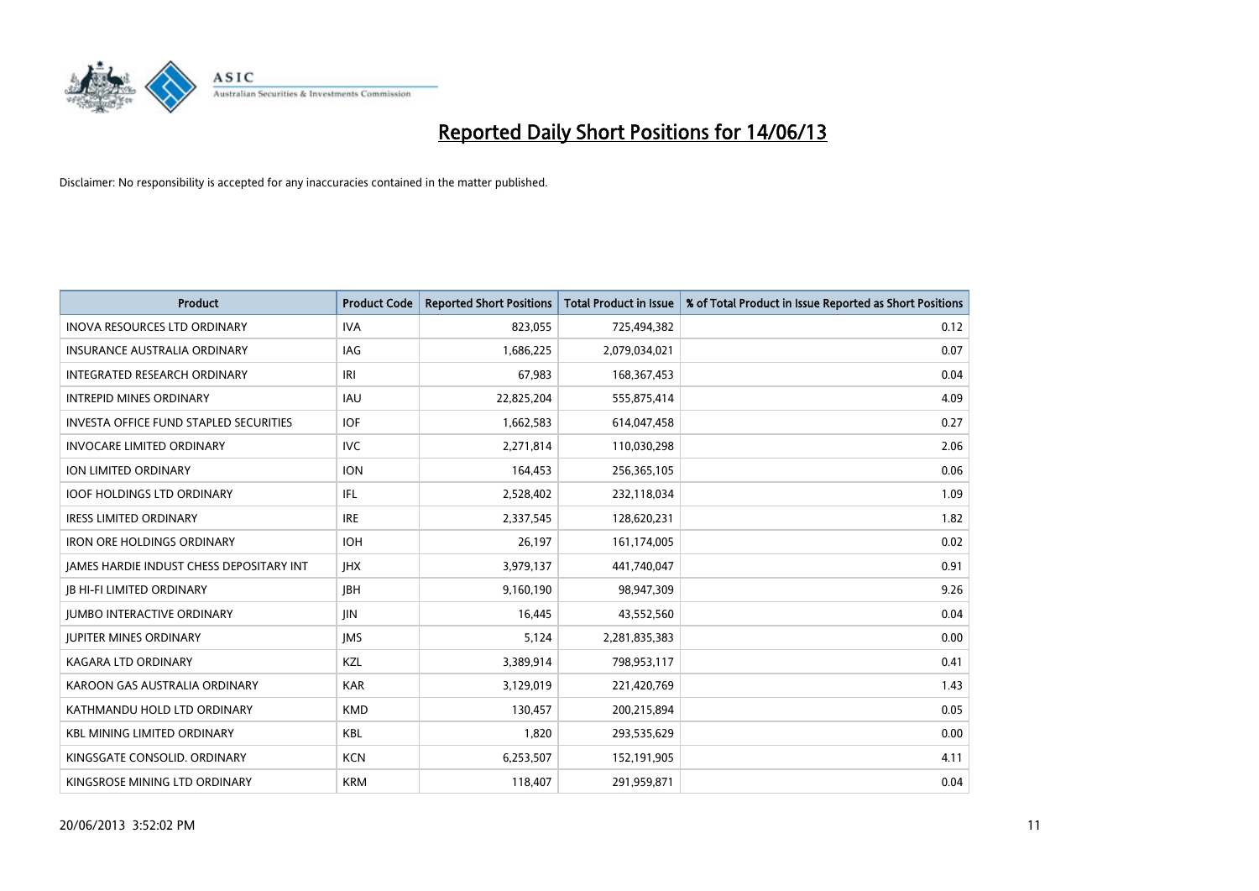

| <b>Product</b>                                  | <b>Product Code</b> | <b>Reported Short Positions</b> | <b>Total Product in Issue</b> | % of Total Product in Issue Reported as Short Positions |
|-------------------------------------------------|---------------------|---------------------------------|-------------------------------|---------------------------------------------------------|
| <b>INOVA RESOURCES LTD ORDINARY</b>             | <b>IVA</b>          | 823,055                         | 725,494,382                   | 0.12                                                    |
| INSURANCE AUSTRALIA ORDINARY                    | IAG                 | 1,686,225                       | 2,079,034,021                 | 0.07                                                    |
| INTEGRATED RESEARCH ORDINARY                    | IRI                 | 67,983                          | 168, 367, 453                 | 0.04                                                    |
| <b>INTREPID MINES ORDINARY</b>                  | <b>IAU</b>          | 22,825,204                      | 555,875,414                   | 4.09                                                    |
| <b>INVESTA OFFICE FUND STAPLED SECURITIES</b>   | <b>IOF</b>          | 1,662,583                       | 614,047,458                   | 0.27                                                    |
| <b>INVOCARE LIMITED ORDINARY</b>                | <b>IVC</b>          | 2,271,814                       | 110,030,298                   | 2.06                                                    |
| ION LIMITED ORDINARY                            | <b>ION</b>          | 164,453                         | 256,365,105                   | 0.06                                                    |
| <b>IOOF HOLDINGS LTD ORDINARY</b>               | IFL                 | 2,528,402                       | 232,118,034                   | 1.09                                                    |
| <b>IRESS LIMITED ORDINARY</b>                   | <b>IRE</b>          | 2,337,545                       | 128,620,231                   | 1.82                                                    |
| <b>IRON ORE HOLDINGS ORDINARY</b>               | <b>IOH</b>          | 26,197                          | 161,174,005                   | 0.02                                                    |
| <b>JAMES HARDIE INDUST CHESS DEPOSITARY INT</b> | <b>IHX</b>          | 3,979,137                       | 441,740,047                   | 0.91                                                    |
| <b>JB HI-FI LIMITED ORDINARY</b>                | <b>IBH</b>          | 9,160,190                       | 98,947,309                    | 9.26                                                    |
| <b>JUMBO INTERACTIVE ORDINARY</b>               | <b>JIN</b>          | 16,445                          | 43,552,560                    | 0.04                                                    |
| <b>JUPITER MINES ORDINARY</b>                   | <b>IMS</b>          | 5,124                           | 2,281,835,383                 | 0.00                                                    |
| <b>KAGARA LTD ORDINARY</b>                      | KZL                 | 3,389,914                       | 798,953,117                   | 0.41                                                    |
| KAROON GAS AUSTRALIA ORDINARY                   | <b>KAR</b>          | 3,129,019                       | 221,420,769                   | 1.43                                                    |
| KATHMANDU HOLD LTD ORDINARY                     | <b>KMD</b>          | 130,457                         | 200,215,894                   | 0.05                                                    |
| <b>KBL MINING LIMITED ORDINARY</b>              | <b>KBL</b>          | 1,820                           | 293,535,629                   | 0.00                                                    |
| KINGSGATE CONSOLID, ORDINARY                    | <b>KCN</b>          | 6,253,507                       | 152,191,905                   | 4.11                                                    |
| KINGSROSE MINING LTD ORDINARY                   | <b>KRM</b>          | 118,407                         | 291,959,871                   | 0.04                                                    |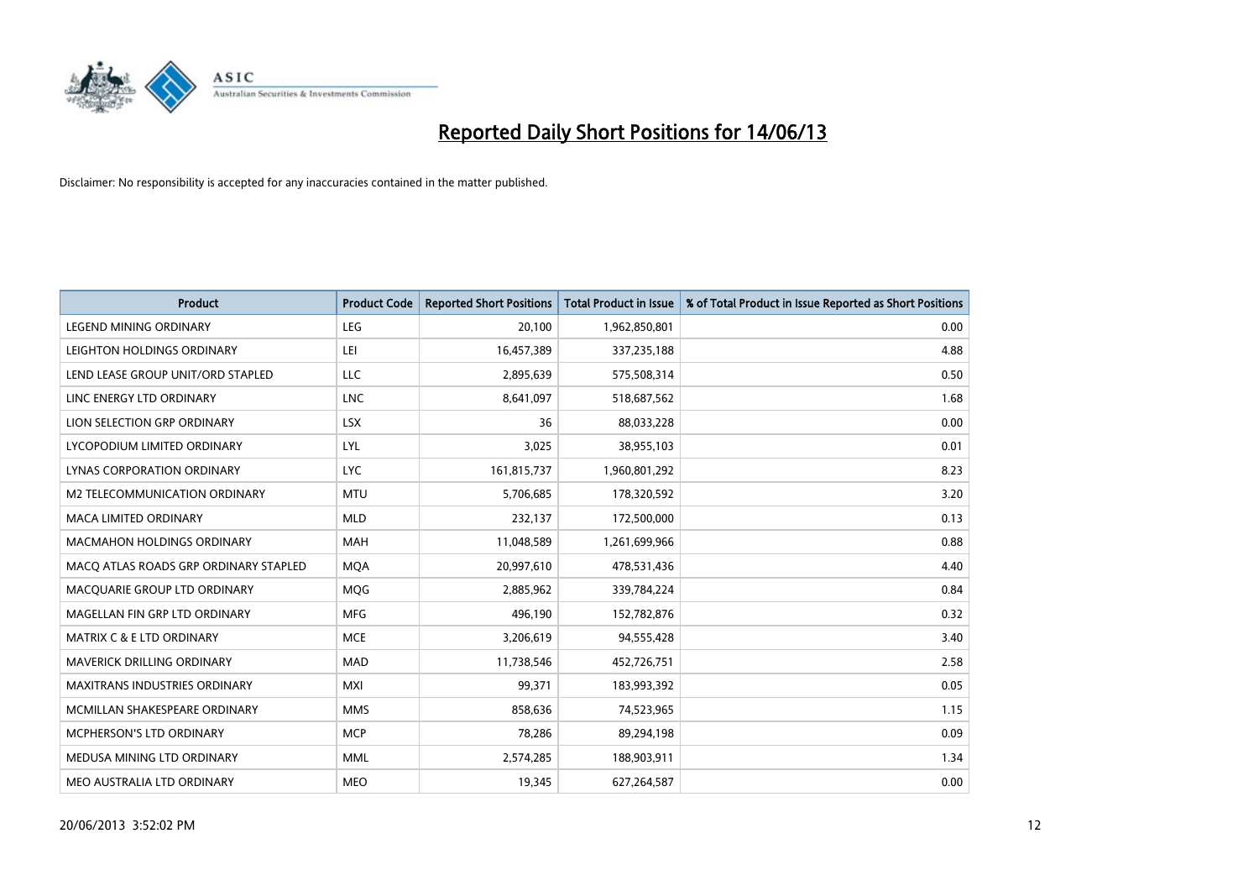

| <b>Product</b>                        | <b>Product Code</b> | <b>Reported Short Positions</b> | <b>Total Product in Issue</b> | % of Total Product in Issue Reported as Short Positions |
|---------------------------------------|---------------------|---------------------------------|-------------------------------|---------------------------------------------------------|
| <b>LEGEND MINING ORDINARY</b>         | LEG                 | 20,100                          | 1,962,850,801                 | 0.00                                                    |
| LEIGHTON HOLDINGS ORDINARY            | LEI                 | 16,457,389                      | 337,235,188                   | 4.88                                                    |
| LEND LEASE GROUP UNIT/ORD STAPLED     | <b>LLC</b>          | 2,895,639                       | 575,508,314                   | 0.50                                                    |
| LINC ENERGY LTD ORDINARY              | LNC                 | 8,641,097                       | 518,687,562                   | 1.68                                                    |
| LION SELECTION GRP ORDINARY           | <b>LSX</b>          | 36                              | 88,033,228                    | 0.00                                                    |
| LYCOPODIUM LIMITED ORDINARY           | LYL                 | 3,025                           | 38,955,103                    | 0.01                                                    |
| LYNAS CORPORATION ORDINARY            | <b>LYC</b>          | 161,815,737                     | 1,960,801,292                 | 8.23                                                    |
| M2 TELECOMMUNICATION ORDINARY         | <b>MTU</b>          | 5,706,685                       | 178,320,592                   | 3.20                                                    |
| <b>MACA LIMITED ORDINARY</b>          | <b>MLD</b>          | 232,137                         | 172,500,000                   | 0.13                                                    |
| <b>MACMAHON HOLDINGS ORDINARY</b>     | <b>MAH</b>          | 11,048,589                      | 1,261,699,966                 | 0.88                                                    |
| MACO ATLAS ROADS GRP ORDINARY STAPLED | <b>MOA</b>          | 20,997,610                      | 478,531,436                   | 4.40                                                    |
| MACQUARIE GROUP LTD ORDINARY          | MQG                 | 2,885,962                       | 339,784,224                   | 0.84                                                    |
| MAGELLAN FIN GRP LTD ORDINARY         | <b>MFG</b>          | 496,190                         | 152,782,876                   | 0.32                                                    |
| <b>MATRIX C &amp; E LTD ORDINARY</b>  | <b>MCE</b>          | 3,206,619                       | 94,555,428                    | 3.40                                                    |
| MAVERICK DRILLING ORDINARY            | <b>MAD</b>          | 11,738,546                      | 452,726,751                   | 2.58                                                    |
| MAXITRANS INDUSTRIES ORDINARY         | <b>MXI</b>          | 99,371                          | 183,993,392                   | 0.05                                                    |
| MCMILLAN SHAKESPEARE ORDINARY         | <b>MMS</b>          | 858,636                         | 74,523,965                    | 1.15                                                    |
| MCPHERSON'S LTD ORDINARY              | <b>MCP</b>          | 78,286                          | 89,294,198                    | 0.09                                                    |
| MEDUSA MINING LTD ORDINARY            | <b>MML</b>          | 2,574,285                       | 188,903,911                   | 1.34                                                    |
| MEO AUSTRALIA LTD ORDINARY            | <b>MEO</b>          | 19,345                          | 627,264,587                   | 0.00                                                    |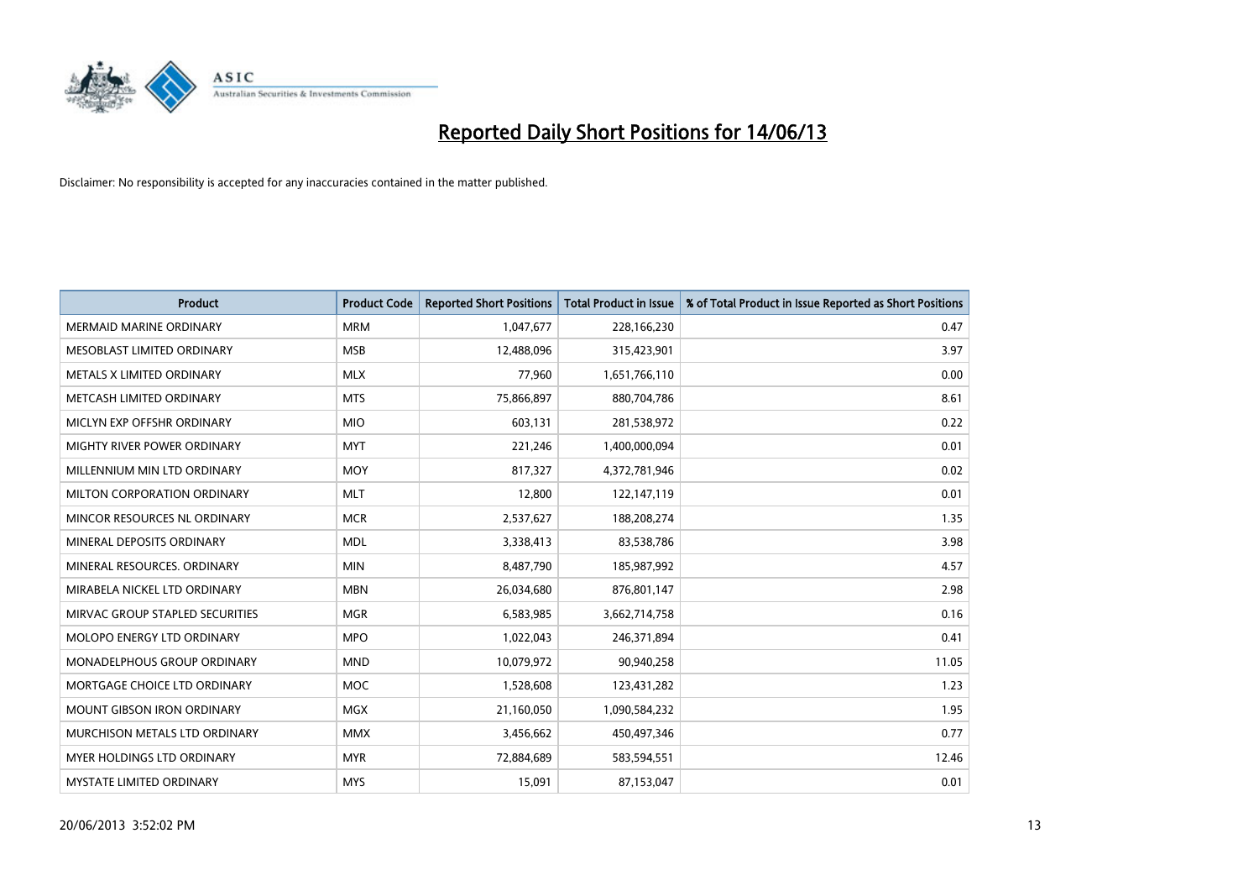

| <b>Product</b>                  | <b>Product Code</b> | <b>Reported Short Positions</b> | <b>Total Product in Issue</b> | % of Total Product in Issue Reported as Short Positions |
|---------------------------------|---------------------|---------------------------------|-------------------------------|---------------------------------------------------------|
| <b>MERMAID MARINE ORDINARY</b>  | <b>MRM</b>          | 1,047,677                       | 228,166,230                   | 0.47                                                    |
| MESOBLAST LIMITED ORDINARY      | <b>MSB</b>          | 12,488,096                      | 315,423,901                   | 3.97                                                    |
| METALS X LIMITED ORDINARY       | <b>MLX</b>          | 77,960                          | 1,651,766,110                 | 0.00                                                    |
| METCASH LIMITED ORDINARY        | <b>MTS</b>          | 75,866,897                      | 880,704,786                   | 8.61                                                    |
| MICLYN EXP OFFSHR ORDINARY      | <b>MIO</b>          | 603,131                         | 281,538,972                   | 0.22                                                    |
| MIGHTY RIVER POWER ORDINARY     | <b>MYT</b>          | 221,246                         | 1,400,000,094                 | 0.01                                                    |
| MILLENNIUM MIN LTD ORDINARY     | <b>MOY</b>          | 817,327                         | 4,372,781,946                 | 0.02                                                    |
| MILTON CORPORATION ORDINARY     | <b>MLT</b>          | 12,800                          | 122,147,119                   | 0.01                                                    |
| MINCOR RESOURCES NL ORDINARY    | <b>MCR</b>          | 2,537,627                       | 188,208,274                   | 1.35                                                    |
| MINERAL DEPOSITS ORDINARY       | <b>MDL</b>          | 3,338,413                       | 83,538,786                    | 3.98                                                    |
| MINERAL RESOURCES. ORDINARY     | <b>MIN</b>          | 8,487,790                       | 185,987,992                   | 4.57                                                    |
| MIRABELA NICKEL LTD ORDINARY    | <b>MBN</b>          | 26,034,680                      | 876,801,147                   | 2.98                                                    |
| MIRVAC GROUP STAPLED SECURITIES | <b>MGR</b>          | 6,583,985                       | 3,662,714,758                 | 0.16                                                    |
| MOLOPO ENERGY LTD ORDINARY      | <b>MPO</b>          | 1,022,043                       | 246,371,894                   | 0.41                                                    |
| MONADELPHOUS GROUP ORDINARY     | <b>MND</b>          | 10,079,972                      | 90,940,258                    | 11.05                                                   |
| MORTGAGE CHOICE LTD ORDINARY    | <b>MOC</b>          | 1,528,608                       | 123,431,282                   | 1.23                                                    |
| MOUNT GIBSON IRON ORDINARY      | <b>MGX</b>          | 21,160,050                      | 1,090,584,232                 | 1.95                                                    |
| MURCHISON METALS LTD ORDINARY   | <b>MMX</b>          | 3,456,662                       | 450,497,346                   | 0.77                                                    |
| MYER HOLDINGS LTD ORDINARY      | <b>MYR</b>          | 72,884,689                      | 583,594,551                   | 12.46                                                   |
| MYSTATE LIMITED ORDINARY        | <b>MYS</b>          | 15,091                          | 87,153,047                    | 0.01                                                    |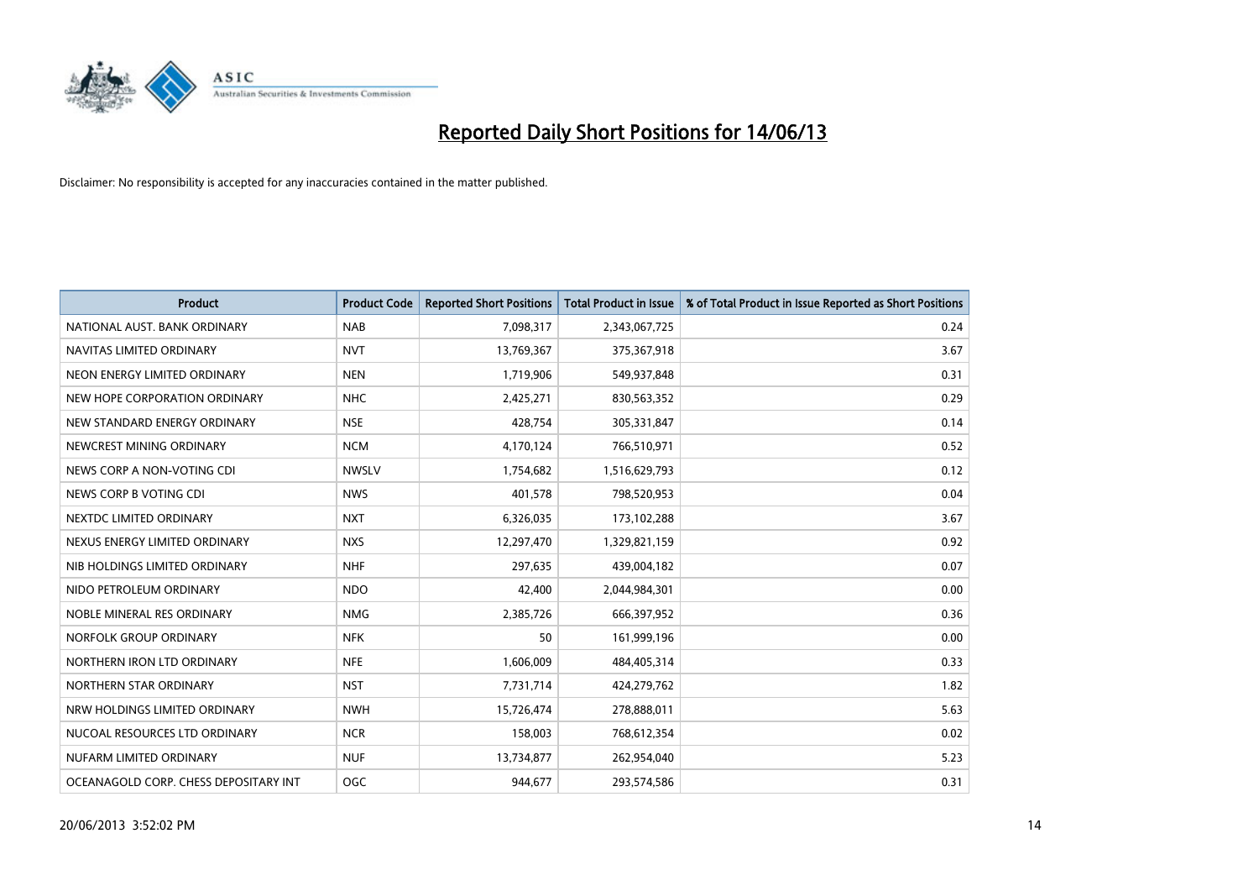

| <b>Product</b>                        | <b>Product Code</b> | <b>Reported Short Positions</b> | <b>Total Product in Issue</b> | % of Total Product in Issue Reported as Short Positions |
|---------------------------------------|---------------------|---------------------------------|-------------------------------|---------------------------------------------------------|
| NATIONAL AUST. BANK ORDINARY          | <b>NAB</b>          | 7,098,317                       | 2,343,067,725                 | 0.24                                                    |
| NAVITAS LIMITED ORDINARY              | <b>NVT</b>          | 13,769,367                      | 375,367,918                   | 3.67                                                    |
| NEON ENERGY LIMITED ORDINARY          | <b>NEN</b>          | 1,719,906                       | 549,937,848                   | 0.31                                                    |
| NEW HOPE CORPORATION ORDINARY         | <b>NHC</b>          | 2,425,271                       | 830,563,352                   | 0.29                                                    |
| NEW STANDARD ENERGY ORDINARY          | <b>NSE</b>          | 428,754                         | 305,331,847                   | 0.14                                                    |
| NEWCREST MINING ORDINARY              | <b>NCM</b>          | 4,170,124                       | 766,510,971                   | 0.52                                                    |
| NEWS CORP A NON-VOTING CDI            | <b>NWSLV</b>        | 1,754,682                       | 1,516,629,793                 | 0.12                                                    |
| NEWS CORP B VOTING CDI                | <b>NWS</b>          | 401,578                         | 798,520,953                   | 0.04                                                    |
| NEXTDC LIMITED ORDINARY               | <b>NXT</b>          | 6,326,035                       | 173,102,288                   | 3.67                                                    |
| NEXUS ENERGY LIMITED ORDINARY         | <b>NXS</b>          | 12,297,470                      | 1,329,821,159                 | 0.92                                                    |
| NIB HOLDINGS LIMITED ORDINARY         | <b>NHF</b>          | 297,635                         | 439,004,182                   | 0.07                                                    |
| NIDO PETROLEUM ORDINARY               | <b>NDO</b>          | 42,400                          | 2,044,984,301                 | 0.00                                                    |
| NOBLE MINERAL RES ORDINARY            | <b>NMG</b>          | 2,385,726                       | 666,397,952                   | 0.36                                                    |
| NORFOLK GROUP ORDINARY                | <b>NFK</b>          | 50                              | 161,999,196                   | 0.00                                                    |
| NORTHERN IRON LTD ORDINARY            | <b>NFE</b>          | 1,606,009                       | 484,405,314                   | 0.33                                                    |
| NORTHERN STAR ORDINARY                | <b>NST</b>          | 7,731,714                       | 424,279,762                   | 1.82                                                    |
| NRW HOLDINGS LIMITED ORDINARY         | <b>NWH</b>          | 15,726,474                      | 278,888,011                   | 5.63                                                    |
| NUCOAL RESOURCES LTD ORDINARY         | <b>NCR</b>          | 158,003                         | 768,612,354                   | 0.02                                                    |
| NUFARM LIMITED ORDINARY               | <b>NUF</b>          | 13,734,877                      | 262,954,040                   | 5.23                                                    |
| OCEANAGOLD CORP. CHESS DEPOSITARY INT | OGC                 | 944,677                         | 293,574,586                   | 0.31                                                    |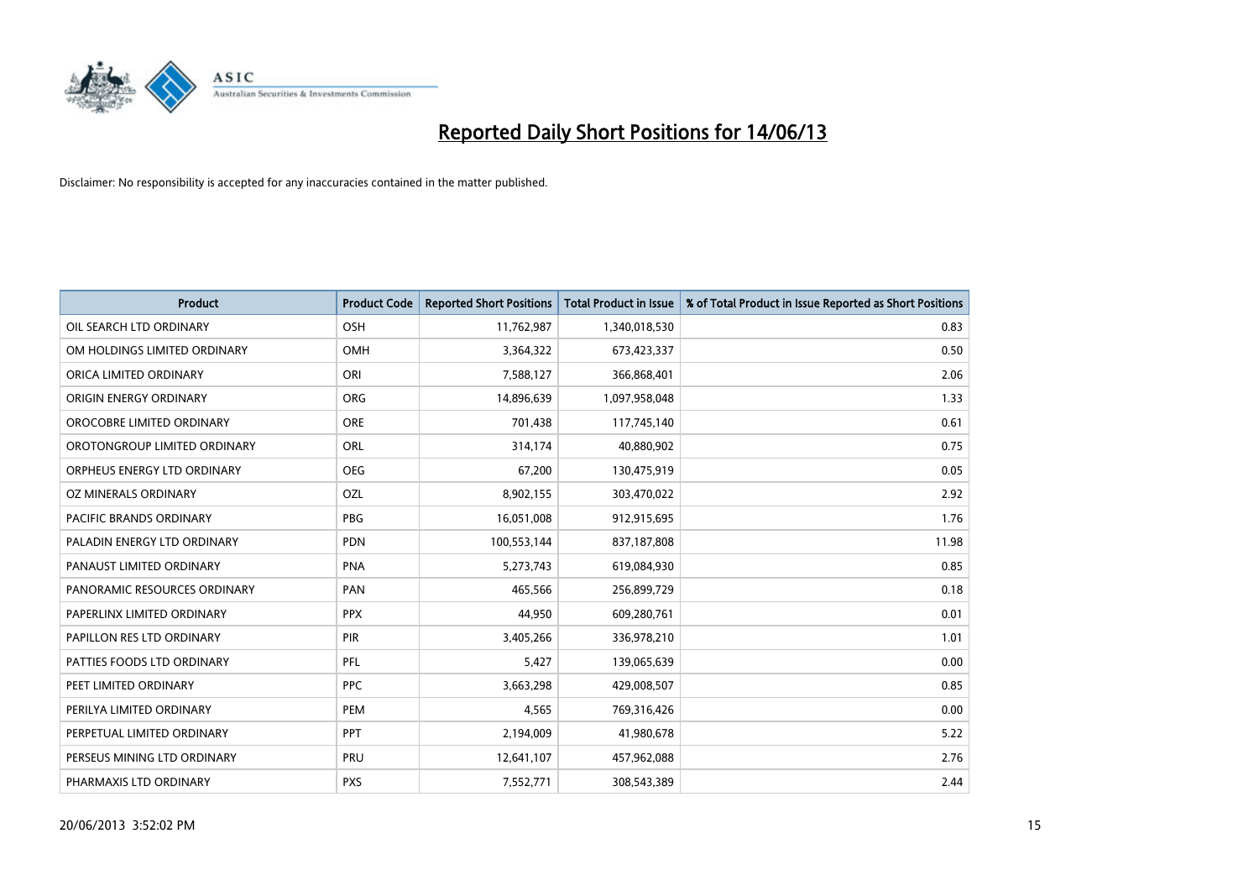

| <b>Product</b>                 | <b>Product Code</b> | <b>Reported Short Positions</b> | <b>Total Product in Issue</b> | % of Total Product in Issue Reported as Short Positions |
|--------------------------------|---------------------|---------------------------------|-------------------------------|---------------------------------------------------------|
| OIL SEARCH LTD ORDINARY        | OSH                 | 11,762,987                      | 1,340,018,530                 | 0.83                                                    |
| OM HOLDINGS LIMITED ORDINARY   | <b>OMH</b>          | 3,364,322                       | 673,423,337                   | 0.50                                                    |
| ORICA LIMITED ORDINARY         | ORI                 | 7,588,127                       | 366,868,401                   | 2.06                                                    |
| ORIGIN ENERGY ORDINARY         | <b>ORG</b>          | 14,896,639                      | 1,097,958,048                 | 1.33                                                    |
| OROCOBRE LIMITED ORDINARY      | <b>ORE</b>          | 701,438                         | 117,745,140                   | 0.61                                                    |
| OROTONGROUP LIMITED ORDINARY   | ORL                 | 314,174                         | 40,880,902                    | 0.75                                                    |
| ORPHEUS ENERGY LTD ORDINARY    | <b>OEG</b>          | 67,200                          | 130,475,919                   | 0.05                                                    |
| OZ MINERALS ORDINARY           | <b>OZL</b>          | 8,902,155                       | 303,470,022                   | 2.92                                                    |
| <b>PACIFIC BRANDS ORDINARY</b> | <b>PBG</b>          | 16,051,008                      | 912,915,695                   | 1.76                                                    |
| PALADIN ENERGY LTD ORDINARY    | <b>PDN</b>          | 100,553,144                     | 837,187,808                   | 11.98                                                   |
| PANAUST LIMITED ORDINARY       | <b>PNA</b>          | 5,273,743                       | 619,084,930                   | 0.85                                                    |
| PANORAMIC RESOURCES ORDINARY   | PAN                 | 465,566                         | 256,899,729                   | 0.18                                                    |
| PAPERLINX LIMITED ORDINARY     | <b>PPX</b>          | 44,950                          | 609,280,761                   | 0.01                                                    |
| PAPILLON RES LTD ORDINARY      | PIR                 | 3,405,266                       | 336,978,210                   | 1.01                                                    |
| PATTIES FOODS LTD ORDINARY     | <b>PFL</b>          | 5,427                           | 139,065,639                   | 0.00                                                    |
| PEET LIMITED ORDINARY          | <b>PPC</b>          | 3,663,298                       | 429,008,507                   | 0.85                                                    |
| PERILYA LIMITED ORDINARY       | PEM                 | 4,565                           | 769,316,426                   | 0.00                                                    |
| PERPETUAL LIMITED ORDINARY     | PPT                 | 2,194,009                       | 41,980,678                    | 5.22                                                    |
| PERSEUS MINING LTD ORDINARY    | PRU                 | 12,641,107                      | 457,962,088                   | 2.76                                                    |
| PHARMAXIS LTD ORDINARY         | <b>PXS</b>          | 7,552,771                       | 308,543,389                   | 2.44                                                    |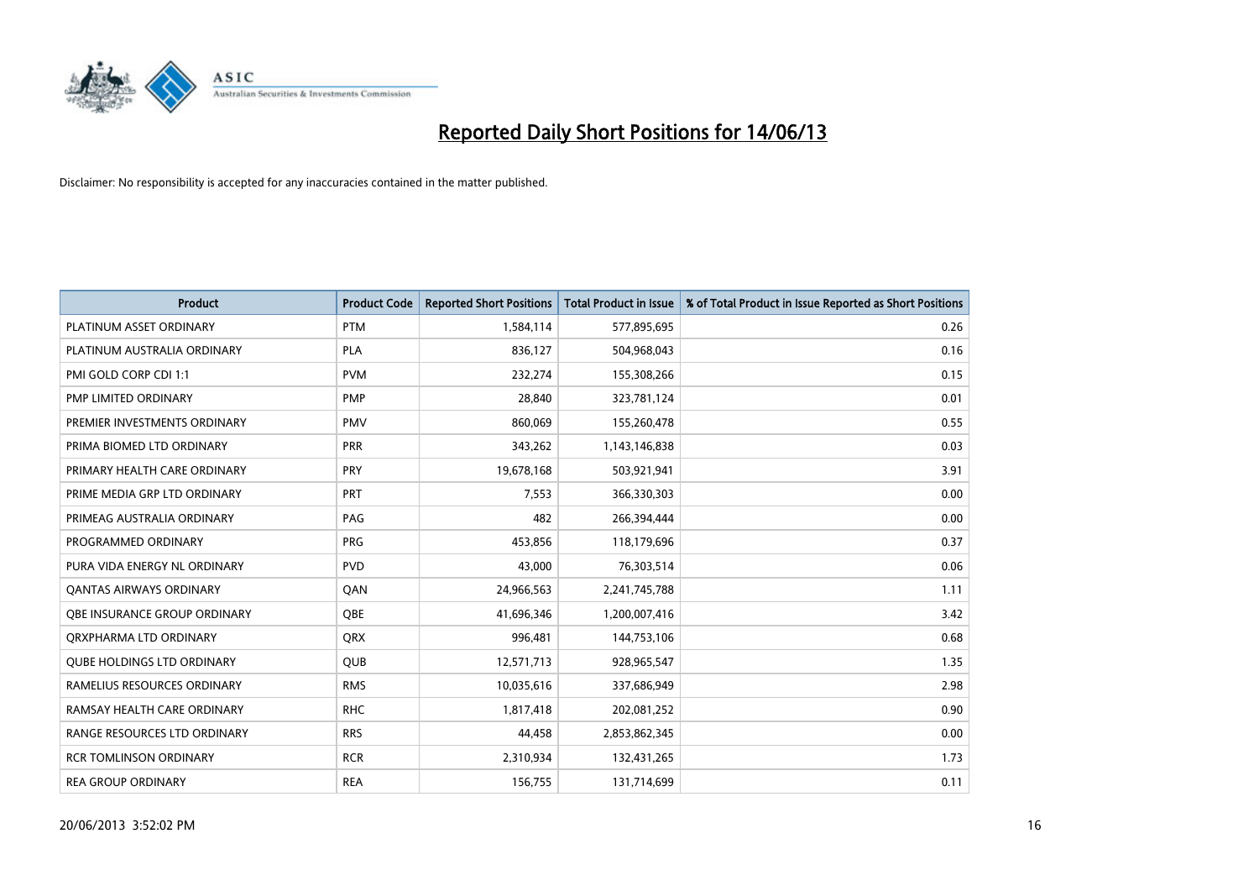

| <b>Product</b>                    | <b>Product Code</b> | <b>Reported Short Positions</b> | <b>Total Product in Issue</b> | % of Total Product in Issue Reported as Short Positions |
|-----------------------------------|---------------------|---------------------------------|-------------------------------|---------------------------------------------------------|
| PLATINUM ASSET ORDINARY           | <b>PTM</b>          | 1,584,114                       | 577,895,695                   | 0.26                                                    |
| PLATINUM AUSTRALIA ORDINARY       | <b>PLA</b>          | 836,127                         | 504,968,043                   | 0.16                                                    |
| PMI GOLD CORP CDI 1:1             | <b>PVM</b>          | 232,274                         | 155,308,266                   | 0.15                                                    |
| PMP LIMITED ORDINARY              | <b>PMP</b>          | 28,840                          | 323,781,124                   | 0.01                                                    |
| PREMIER INVESTMENTS ORDINARY      | <b>PMV</b>          | 860,069                         | 155,260,478                   | 0.55                                                    |
| PRIMA BIOMED LTD ORDINARY         | <b>PRR</b>          | 343,262                         | 1,143,146,838                 | 0.03                                                    |
| PRIMARY HEALTH CARE ORDINARY      | <b>PRY</b>          | 19,678,168                      | 503,921,941                   | 3.91                                                    |
| PRIME MEDIA GRP LTD ORDINARY      | <b>PRT</b>          | 7,553                           | 366,330,303                   | 0.00                                                    |
| PRIMEAG AUSTRALIA ORDINARY        | PAG                 | 482                             | 266,394,444                   | 0.00                                                    |
| PROGRAMMED ORDINARY               | <b>PRG</b>          | 453,856                         | 118,179,696                   | 0.37                                                    |
| PURA VIDA ENERGY NL ORDINARY      | <b>PVD</b>          | 43,000                          | 76,303,514                    | 0.06                                                    |
| <b>QANTAS AIRWAYS ORDINARY</b>    | QAN                 | 24,966,563                      | 2,241,745,788                 | 1.11                                                    |
| OBE INSURANCE GROUP ORDINARY      | OBE                 | 41,696,346                      | 1,200,007,416                 | 3.42                                                    |
| ORXPHARMA LTD ORDINARY            | <b>QRX</b>          | 996,481                         | 144,753,106                   | 0.68                                                    |
| <b>QUBE HOLDINGS LTD ORDINARY</b> | <b>QUB</b>          | 12,571,713                      | 928,965,547                   | 1.35                                                    |
| RAMELIUS RESOURCES ORDINARY       | <b>RMS</b>          | 10,035,616                      | 337,686,949                   | 2.98                                                    |
| RAMSAY HEALTH CARE ORDINARY       | <b>RHC</b>          | 1,817,418                       | 202,081,252                   | 0.90                                                    |
| RANGE RESOURCES LTD ORDINARY      | <b>RRS</b>          | 44,458                          | 2,853,862,345                 | 0.00                                                    |
| <b>RCR TOMLINSON ORDINARY</b>     | <b>RCR</b>          | 2,310,934                       | 132,431,265                   | 1.73                                                    |
| <b>REA GROUP ORDINARY</b>         | <b>REA</b>          | 156,755                         | 131,714,699                   | 0.11                                                    |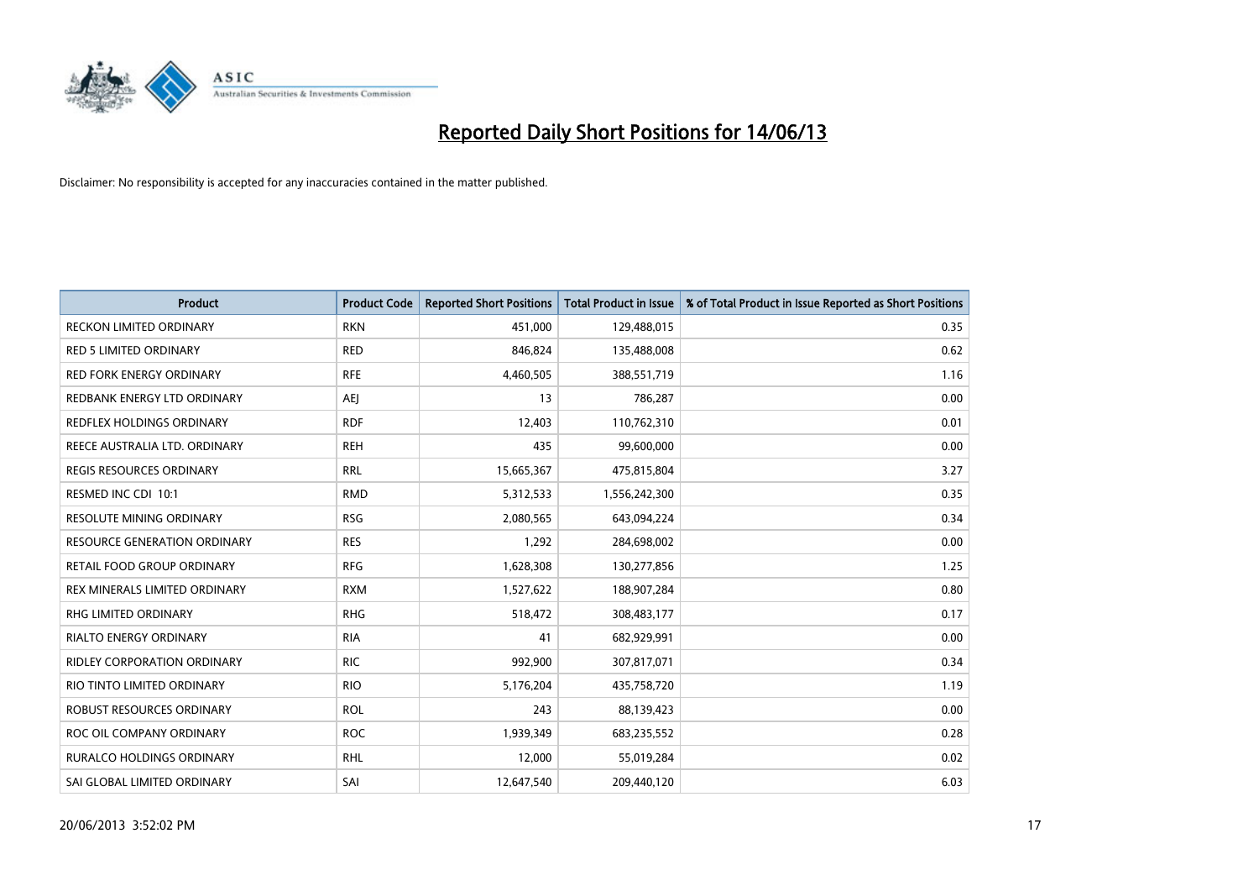

| Product                             | <b>Product Code</b> | <b>Reported Short Positions</b> | <b>Total Product in Issue</b> | % of Total Product in Issue Reported as Short Positions |
|-------------------------------------|---------------------|---------------------------------|-------------------------------|---------------------------------------------------------|
| <b>RECKON LIMITED ORDINARY</b>      | <b>RKN</b>          | 451,000                         | 129,488,015                   | 0.35                                                    |
| <b>RED 5 LIMITED ORDINARY</b>       | <b>RED</b>          | 846,824                         | 135,488,008                   | 0.62                                                    |
| <b>RED FORK ENERGY ORDINARY</b>     | <b>RFE</b>          | 4,460,505                       | 388,551,719                   | 1.16                                                    |
| REDBANK ENERGY LTD ORDINARY         | AEJ                 | 13                              | 786,287                       | 0.00                                                    |
| <b>REDFLEX HOLDINGS ORDINARY</b>    | <b>RDF</b>          | 12,403                          | 110,762,310                   | 0.01                                                    |
| REECE AUSTRALIA LTD. ORDINARY       | <b>REH</b>          | 435                             | 99,600,000                    | 0.00                                                    |
| <b>REGIS RESOURCES ORDINARY</b>     | <b>RRL</b>          | 15,665,367                      | 475,815,804                   | 3.27                                                    |
| RESMED INC CDI 10:1                 | <b>RMD</b>          | 5,312,533                       | 1,556,242,300                 | 0.35                                                    |
| <b>RESOLUTE MINING ORDINARY</b>     | <b>RSG</b>          | 2,080,565                       | 643,094,224                   | 0.34                                                    |
| <b>RESOURCE GENERATION ORDINARY</b> | <b>RES</b>          | 1,292                           | 284,698,002                   | 0.00                                                    |
| RETAIL FOOD GROUP ORDINARY          | <b>RFG</b>          | 1,628,308                       | 130,277,856                   | 1.25                                                    |
| REX MINERALS LIMITED ORDINARY       | <b>RXM</b>          | 1,527,622                       | 188,907,284                   | 0.80                                                    |
| RHG LIMITED ORDINARY                | <b>RHG</b>          | 518,472                         | 308,483,177                   | 0.17                                                    |
| <b>RIALTO ENERGY ORDINARY</b>       | <b>RIA</b>          | 41                              | 682,929,991                   | 0.00                                                    |
| <b>RIDLEY CORPORATION ORDINARY</b>  | <b>RIC</b>          | 992,900                         | 307,817,071                   | 0.34                                                    |
| RIO TINTO LIMITED ORDINARY          | <b>RIO</b>          | 5,176,204                       | 435,758,720                   | 1.19                                                    |
| ROBUST RESOURCES ORDINARY           | <b>ROL</b>          | 243                             | 88,139,423                    | 0.00                                                    |
| ROC OIL COMPANY ORDINARY            | <b>ROC</b>          | 1,939,349                       | 683,235,552                   | 0.28                                                    |
| <b>RURALCO HOLDINGS ORDINARY</b>    | <b>RHL</b>          | 12,000                          | 55,019,284                    | 0.02                                                    |
| SAI GLOBAL LIMITED ORDINARY         | SAI                 | 12,647,540                      | 209,440,120                   | 6.03                                                    |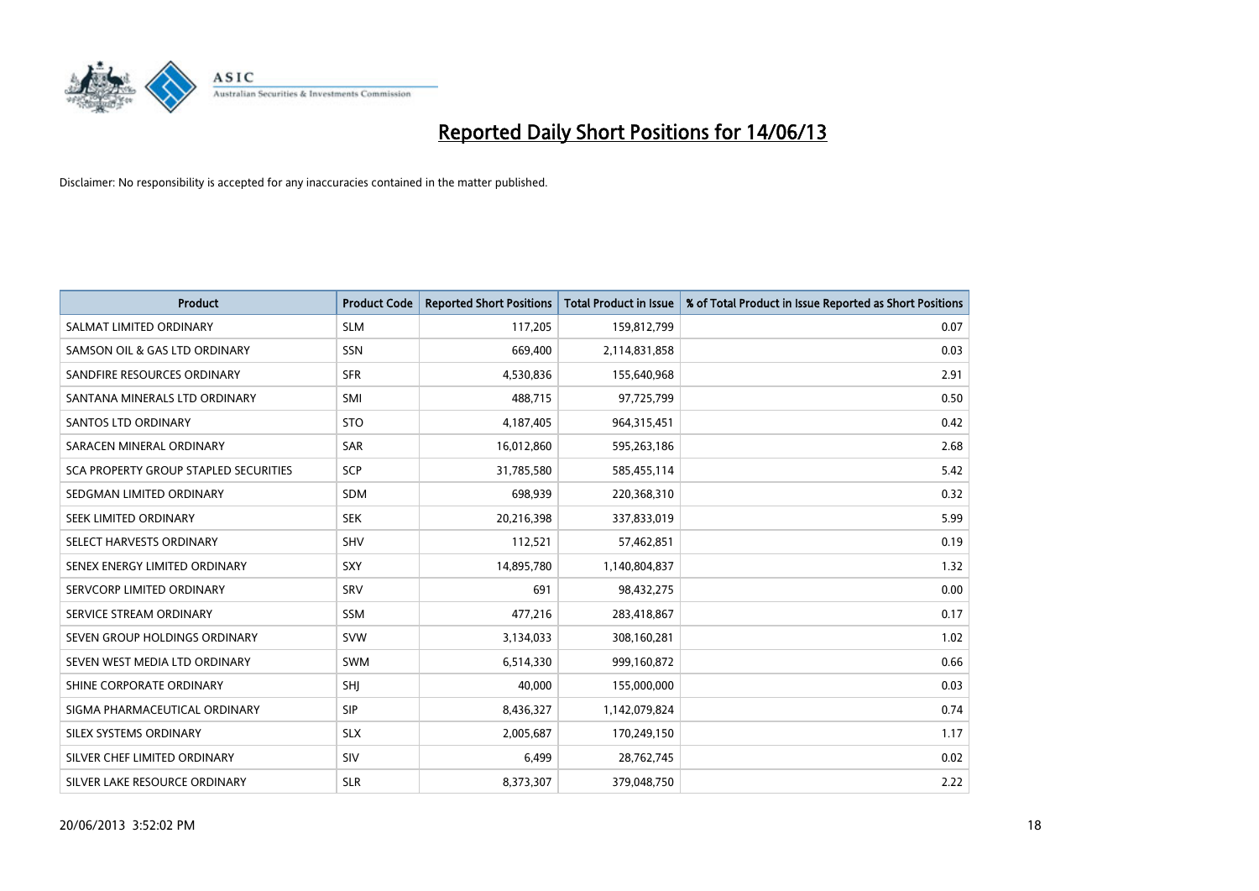

| <b>Product</b>                        | <b>Product Code</b> | <b>Reported Short Positions</b> | <b>Total Product in Issue</b> | % of Total Product in Issue Reported as Short Positions |
|---------------------------------------|---------------------|---------------------------------|-------------------------------|---------------------------------------------------------|
| SALMAT LIMITED ORDINARY               | <b>SLM</b>          | 117,205                         | 159,812,799                   | 0.07                                                    |
| SAMSON OIL & GAS LTD ORDINARY         | <b>SSN</b>          | 669,400                         | 2,114,831,858                 | 0.03                                                    |
| SANDFIRE RESOURCES ORDINARY           | <b>SFR</b>          | 4,530,836                       | 155,640,968                   | 2.91                                                    |
| SANTANA MINERALS LTD ORDINARY         | SMI                 | 488,715                         | 97,725,799                    | 0.50                                                    |
| <b>SANTOS LTD ORDINARY</b>            | <b>STO</b>          | 4,187,405                       | 964,315,451                   | 0.42                                                    |
| SARACEN MINERAL ORDINARY              | SAR                 | 16,012,860                      | 595,263,186                   | 2.68                                                    |
| SCA PROPERTY GROUP STAPLED SECURITIES | SCP                 | 31,785,580                      | 585,455,114                   | 5.42                                                    |
| SEDGMAN LIMITED ORDINARY              | <b>SDM</b>          | 698,939                         | 220,368,310                   | 0.32                                                    |
| SEEK LIMITED ORDINARY                 | <b>SEK</b>          | 20,216,398                      | 337,833,019                   | 5.99                                                    |
| SELECT HARVESTS ORDINARY              | <b>SHV</b>          | 112,521                         | 57,462,851                    | 0.19                                                    |
| SENEX ENERGY LIMITED ORDINARY         | <b>SXY</b>          | 14,895,780                      | 1,140,804,837                 | 1.32                                                    |
| SERVCORP LIMITED ORDINARY             | SRV                 | 691                             | 98,432,275                    | 0.00                                                    |
| SERVICE STREAM ORDINARY               | <b>SSM</b>          | 477,216                         | 283,418,867                   | 0.17                                                    |
| SEVEN GROUP HOLDINGS ORDINARY         | <b>SVW</b>          | 3,134,033                       | 308,160,281                   | 1.02                                                    |
| SEVEN WEST MEDIA LTD ORDINARY         | <b>SWM</b>          | 6,514,330                       | 999,160,872                   | 0.66                                                    |
| SHINE CORPORATE ORDINARY              | SHJ                 | 40,000                          | 155,000,000                   | 0.03                                                    |
| SIGMA PHARMACEUTICAL ORDINARY         | <b>SIP</b>          | 8,436,327                       | 1,142,079,824                 | 0.74                                                    |
| SILEX SYSTEMS ORDINARY                | <b>SLX</b>          | 2,005,687                       | 170,249,150                   | 1.17                                                    |
| SILVER CHEF LIMITED ORDINARY          | SIV                 | 6,499                           | 28,762,745                    | 0.02                                                    |
| SILVER LAKE RESOURCE ORDINARY         | <b>SLR</b>          | 8,373,307                       | 379,048,750                   | 2.22                                                    |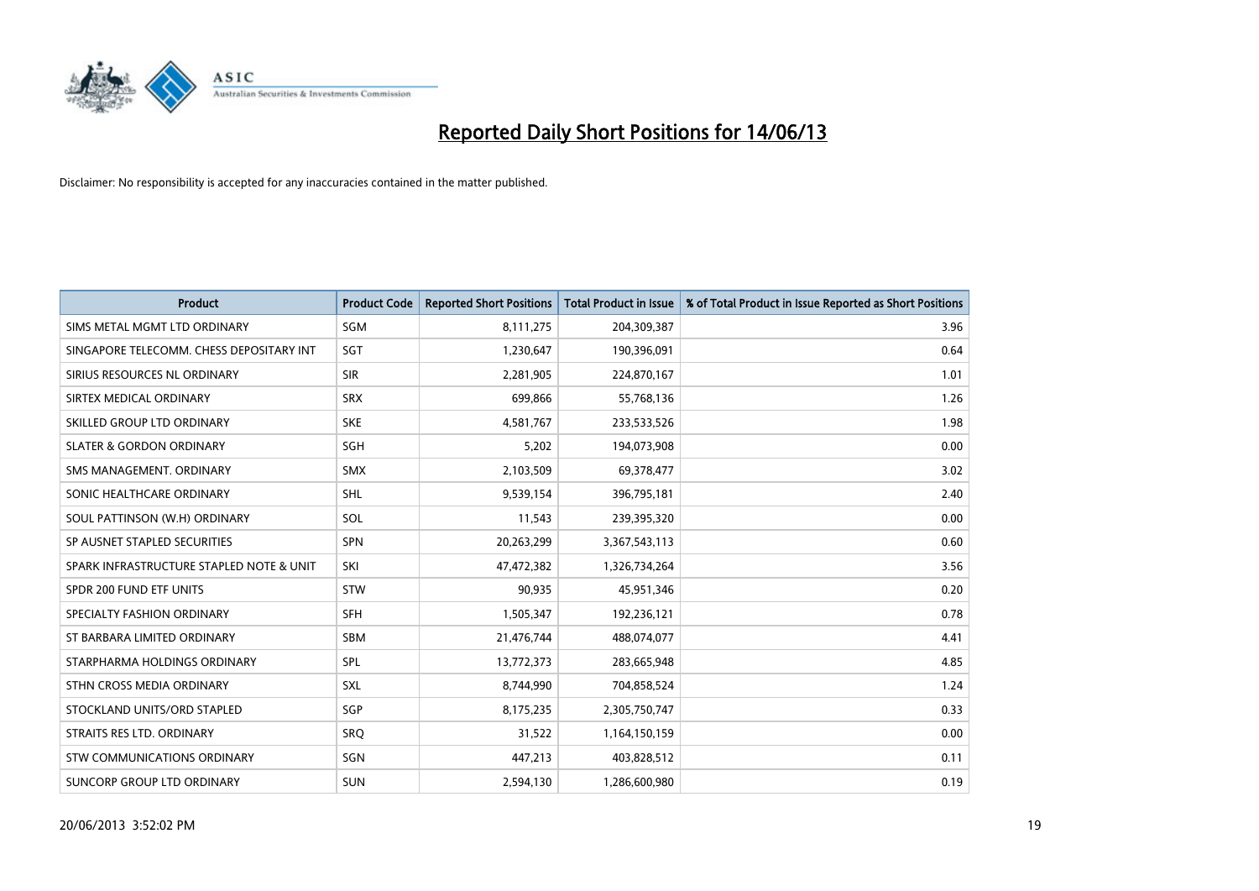

| <b>Product</b>                           | <b>Product Code</b> | <b>Reported Short Positions</b> | <b>Total Product in Issue</b> | % of Total Product in Issue Reported as Short Positions |
|------------------------------------------|---------------------|---------------------------------|-------------------------------|---------------------------------------------------------|
| SIMS METAL MGMT LTD ORDINARY             | SGM                 | 8,111,275                       | 204,309,387                   | 3.96                                                    |
| SINGAPORE TELECOMM. CHESS DEPOSITARY INT | SGT                 | 1,230,647                       | 190,396,091                   | 0.64                                                    |
| SIRIUS RESOURCES NL ORDINARY             | <b>SIR</b>          | 2,281,905                       | 224,870,167                   | 1.01                                                    |
| SIRTEX MEDICAL ORDINARY                  | <b>SRX</b>          | 699,866                         | 55,768,136                    | 1.26                                                    |
| SKILLED GROUP LTD ORDINARY               | <b>SKE</b>          | 4,581,767                       | 233,533,526                   | 1.98                                                    |
| <b>SLATER &amp; GORDON ORDINARY</b>      | SGH                 | 5,202                           | 194,073,908                   | 0.00                                                    |
| SMS MANAGEMENT, ORDINARY                 | <b>SMX</b>          | 2,103,509                       | 69,378,477                    | 3.02                                                    |
| SONIC HEALTHCARE ORDINARY                | <b>SHL</b>          | 9,539,154                       | 396,795,181                   | 2.40                                                    |
| SOUL PATTINSON (W.H) ORDINARY            | SOL                 | 11,543                          | 239,395,320                   | 0.00                                                    |
| SP AUSNET STAPLED SECURITIES             | SPN                 | 20,263,299                      | 3,367,543,113                 | 0.60                                                    |
| SPARK INFRASTRUCTURE STAPLED NOTE & UNIT | SKI                 | 47,472,382                      | 1,326,734,264                 | 3.56                                                    |
| SPDR 200 FUND ETF UNITS                  | <b>STW</b>          | 90,935                          | 45,951,346                    | 0.20                                                    |
| SPECIALTY FASHION ORDINARY               | <b>SFH</b>          | 1,505,347                       | 192,236,121                   | 0.78                                                    |
| ST BARBARA LIMITED ORDINARY              | <b>SBM</b>          | 21,476,744                      | 488,074,077                   | 4.41                                                    |
| STARPHARMA HOLDINGS ORDINARY             | <b>SPL</b>          | 13,772,373                      | 283,665,948                   | 4.85                                                    |
| STHN CROSS MEDIA ORDINARY                | <b>SXL</b>          | 8,744,990                       | 704,858,524                   | 1.24                                                    |
| STOCKLAND UNITS/ORD STAPLED              | SGP                 | 8,175,235                       | 2,305,750,747                 | 0.33                                                    |
| STRAITS RES LTD. ORDINARY                | <b>SRO</b>          | 31,522                          | 1,164,150,159                 | 0.00                                                    |
| STW COMMUNICATIONS ORDINARY              | SGN                 | 447,213                         | 403,828,512                   | 0.11                                                    |
| SUNCORP GROUP LTD ORDINARY               | SUN                 | 2,594,130                       | 1,286,600,980                 | 0.19                                                    |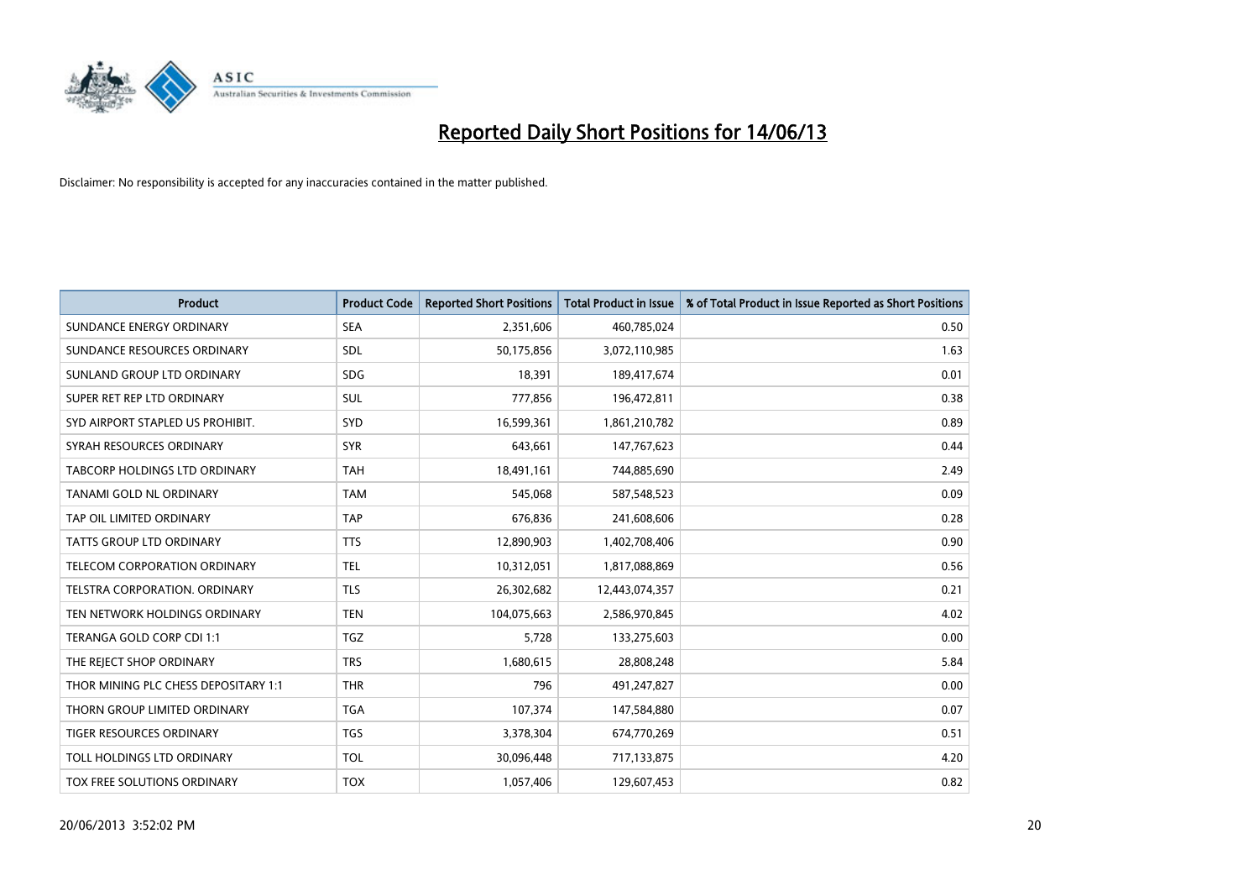

| <b>Product</b>                       | <b>Product Code</b> | <b>Reported Short Positions</b> | <b>Total Product in Issue</b> | % of Total Product in Issue Reported as Short Positions |
|--------------------------------------|---------------------|---------------------------------|-------------------------------|---------------------------------------------------------|
| SUNDANCE ENERGY ORDINARY             | <b>SEA</b>          | 2,351,606                       | 460,785,024                   | 0.50                                                    |
| SUNDANCE RESOURCES ORDINARY          | <b>SDL</b>          | 50,175,856                      | 3,072,110,985                 | 1.63                                                    |
| SUNLAND GROUP LTD ORDINARY           | <b>SDG</b>          | 18,391                          | 189,417,674                   | 0.01                                                    |
| SUPER RET REP LTD ORDINARY           | SUL                 | 777,856                         | 196,472,811                   | 0.38                                                    |
| SYD AIRPORT STAPLED US PROHIBIT.     | <b>SYD</b>          | 16,599,361                      | 1,861,210,782                 | 0.89                                                    |
| SYRAH RESOURCES ORDINARY             | <b>SYR</b>          | 643,661                         | 147,767,623                   | 0.44                                                    |
| TABCORP HOLDINGS LTD ORDINARY        | <b>TAH</b>          | 18,491,161                      | 744,885,690                   | 2.49                                                    |
| TANAMI GOLD NL ORDINARY              | <b>TAM</b>          | 545,068                         | 587,548,523                   | 0.09                                                    |
| TAP OIL LIMITED ORDINARY             | <b>TAP</b>          | 676,836                         | 241,608,606                   | 0.28                                                    |
| <b>TATTS GROUP LTD ORDINARY</b>      | <b>TTS</b>          | 12,890,903                      | 1,402,708,406                 | 0.90                                                    |
| TELECOM CORPORATION ORDINARY         | <b>TEL</b>          | 10,312,051                      | 1,817,088,869                 | 0.56                                                    |
| <b>TELSTRA CORPORATION, ORDINARY</b> | <b>TLS</b>          | 26,302,682                      | 12,443,074,357                | 0.21                                                    |
| TEN NETWORK HOLDINGS ORDINARY        | <b>TEN</b>          | 104,075,663                     | 2,586,970,845                 | 4.02                                                    |
| TERANGA GOLD CORP CDI 1:1            | <b>TGZ</b>          | 5,728                           | 133,275,603                   | 0.00                                                    |
| THE REJECT SHOP ORDINARY             | <b>TRS</b>          | 1,680,615                       | 28,808,248                    | 5.84                                                    |
| THOR MINING PLC CHESS DEPOSITARY 1:1 | <b>THR</b>          | 796                             | 491,247,827                   | 0.00                                                    |
| THORN GROUP LIMITED ORDINARY         | <b>TGA</b>          | 107,374                         | 147,584,880                   | 0.07                                                    |
| TIGER RESOURCES ORDINARY             | <b>TGS</b>          | 3,378,304                       | 674,770,269                   | 0.51                                                    |
| TOLL HOLDINGS LTD ORDINARY           | <b>TOL</b>          | 30,096,448                      | 717,133,875                   | 4.20                                                    |
| TOX FREE SOLUTIONS ORDINARY          | <b>TOX</b>          | 1,057,406                       | 129,607,453                   | 0.82                                                    |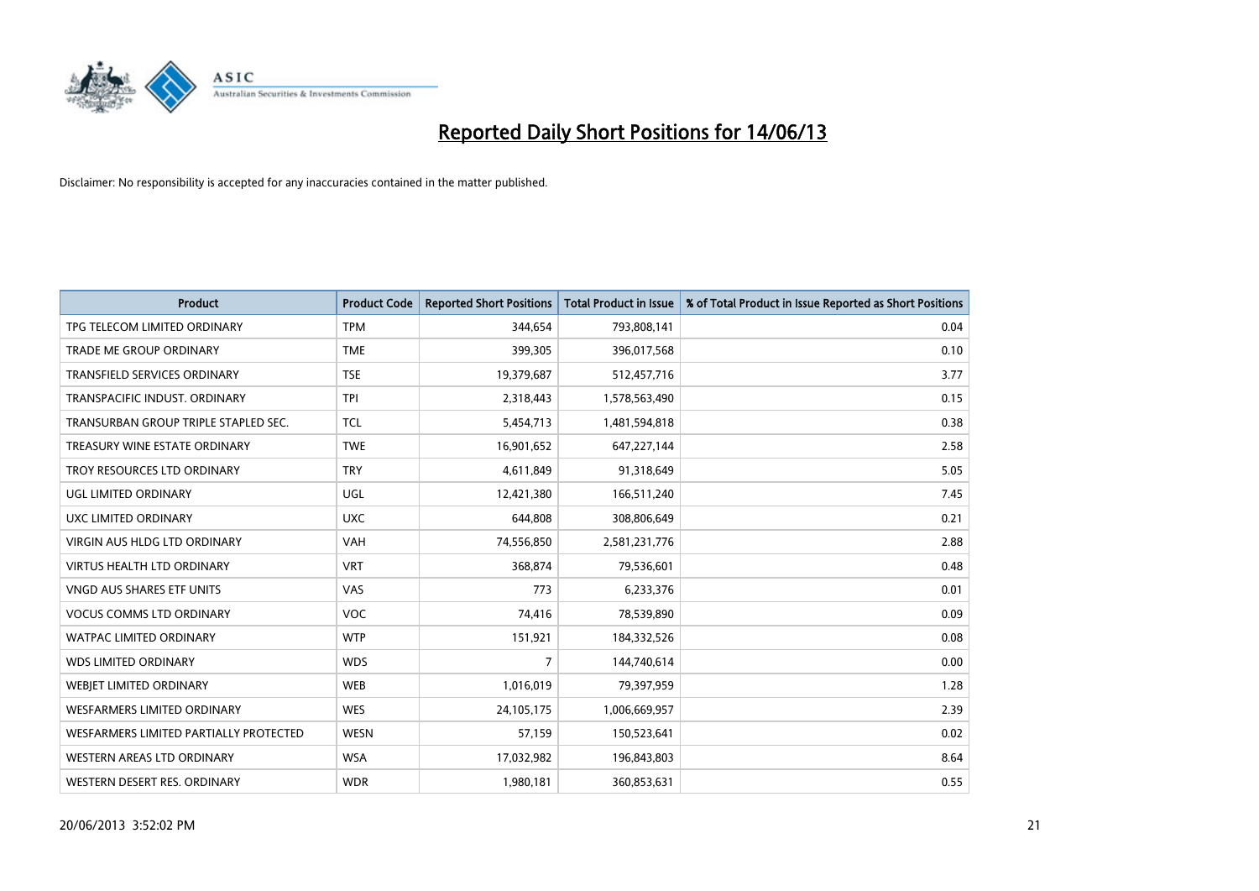

| <b>Product</b>                         | <b>Product Code</b> | <b>Reported Short Positions</b> | <b>Total Product in Issue</b> | % of Total Product in Issue Reported as Short Positions |
|----------------------------------------|---------------------|---------------------------------|-------------------------------|---------------------------------------------------------|
| TPG TELECOM LIMITED ORDINARY           | <b>TPM</b>          | 344,654                         | 793,808,141                   | 0.04                                                    |
| TRADE ME GROUP ORDINARY                | <b>TME</b>          | 399,305                         | 396,017,568                   | 0.10                                                    |
| <b>TRANSFIELD SERVICES ORDINARY</b>    | <b>TSE</b>          | 19,379,687                      | 512,457,716                   | 3.77                                                    |
| TRANSPACIFIC INDUST, ORDINARY          | <b>TPI</b>          | 2,318,443                       | 1,578,563,490                 | 0.15                                                    |
| TRANSURBAN GROUP TRIPLE STAPLED SEC.   | <b>TCL</b>          | 5,454,713                       | 1,481,594,818                 | 0.38                                                    |
| TREASURY WINE ESTATE ORDINARY          | <b>TWE</b>          | 16,901,652                      | 647,227,144                   | 2.58                                                    |
| TROY RESOURCES LTD ORDINARY            | <b>TRY</b>          | 4,611,849                       | 91,318,649                    | 5.05                                                    |
| UGL LIMITED ORDINARY                   | UGL                 | 12,421,380                      | 166,511,240                   | 7.45                                                    |
| UXC LIMITED ORDINARY                   | <b>UXC</b>          | 644.808                         | 308,806,649                   | 0.21                                                    |
| VIRGIN AUS HLDG LTD ORDINARY           | <b>VAH</b>          | 74,556,850                      | 2,581,231,776                 | 2.88                                                    |
| <b>VIRTUS HEALTH LTD ORDINARY</b>      | <b>VRT</b>          | 368,874                         | 79,536,601                    | 0.48                                                    |
| <b>VNGD AUS SHARES ETF UNITS</b>       | <b>VAS</b>          | 773                             | 6,233,376                     | 0.01                                                    |
| <b>VOCUS COMMS LTD ORDINARY</b>        | VOC                 | 74,416                          | 78,539,890                    | 0.09                                                    |
| <b>WATPAC LIMITED ORDINARY</b>         | <b>WTP</b>          | 151,921                         | 184,332,526                   | 0.08                                                    |
| <b>WDS LIMITED ORDINARY</b>            | <b>WDS</b>          | $\overline{7}$                  | 144,740,614                   | 0.00                                                    |
| <b>WEBJET LIMITED ORDINARY</b>         | <b>WEB</b>          | 1,016,019                       | 79,397,959                    | 1.28                                                    |
| <b>WESFARMERS LIMITED ORDINARY</b>     | <b>WES</b>          | 24,105,175                      | 1,006,669,957                 | 2.39                                                    |
| WESFARMERS LIMITED PARTIALLY PROTECTED | <b>WESN</b>         | 57,159                          | 150,523,641                   | 0.02                                                    |
| WESTERN AREAS LTD ORDINARY             | <b>WSA</b>          | 17,032,982                      | 196,843,803                   | 8.64                                                    |
| WESTERN DESERT RES. ORDINARY           | <b>WDR</b>          | 1,980,181                       | 360,853,631                   | 0.55                                                    |